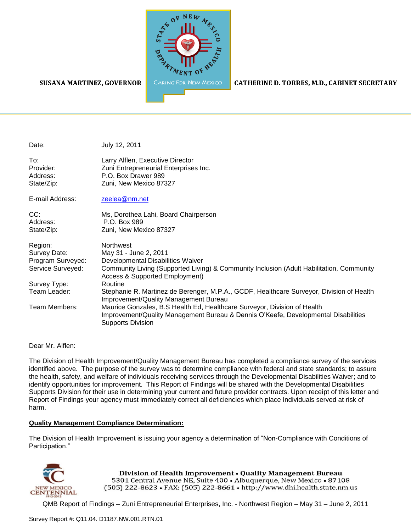

#### **SUSANA MARTINEZ, GOVERNOR**

CATHERINE D. TORRES, M.D., CABINET SECRETARY

| Date:                                                                                                              | July 12, 2011                                                                                                                                                                                                                                                                                                                                                                                                                                                                                                                                                  |
|--------------------------------------------------------------------------------------------------------------------|----------------------------------------------------------------------------------------------------------------------------------------------------------------------------------------------------------------------------------------------------------------------------------------------------------------------------------------------------------------------------------------------------------------------------------------------------------------------------------------------------------------------------------------------------------------|
| To:<br>Provider:<br>Address:<br>State/Zip:                                                                         | Larry Alflen, Executive Director<br>Zuni Entrepreneurial Enterprises Inc.<br>P.O. Box Drawer 989<br>Zuni, New Mexico 87327                                                                                                                                                                                                                                                                                                                                                                                                                                     |
| E-mail Address:                                                                                                    | zeelea@nm.net                                                                                                                                                                                                                                                                                                                                                                                                                                                                                                                                                  |
| CC:<br>Address:<br>State/Zip:                                                                                      | Ms, Dorothea Lahi, Board Chairperson<br>P.O. Box 989<br>Zuni, New Mexico 87327                                                                                                                                                                                                                                                                                                                                                                                                                                                                                 |
| Region:<br>Survey Date:<br>Program Surveyed:<br>Service Surveyed:<br>Survey Type:<br>Team Leader:<br>Team Members: | Northwest<br>May 31 - June 2, 2011<br>Developmental Disabilities Waiver<br>Community Living (Supported Living) & Community Inclusion (Adult Habilitation, Community<br><b>Access &amp; Supported Employment)</b><br>Routine<br>Stephanie R. Martinez de Berenger, M.P.A., GCDF, Healthcare Surveyor, Division of Health<br>Improvement/Quality Management Bureau<br>Maurice Gonzales, B.S Health Ed, Healthcare Surveyor, Division of Health<br>Improvement/Quality Management Bureau & Dennis O'Keefe, Developmental Disabilities<br><b>Supports Division</b> |

Dear Mr. Alflen:

The Division of Health Improvement/Quality Management Bureau has completed a compliance survey of the services identified above. The purpose of the survey was to determine compliance with federal and state standards; to assure the health, safety, and welfare of individuals receiving services through the Developmental Disabilities Waiver; and to identify opportunities for improvement. This Report of Findings will be shared with the Developmental Disabilities Supports Division for their use in determining your current and future provider contracts. Upon receipt of this letter and Report of Findings your agency must immediately correct all deficiencies which place Individuals served at risk of harm.

#### **Quality Management Compliance Determination:**

The Division of Health Improvement is issuing your agency a determination of "Non-Compliance with Conditions of Participation."



Division of Health Improvement . Quality Management Bureau 5301 Central Avenue NE, Suite 400 · Albuquerque, New Mexico · 87108 (505) 222-8623 • FAX: (505) 222-8661 • http://www.dhi.health.state.nm.us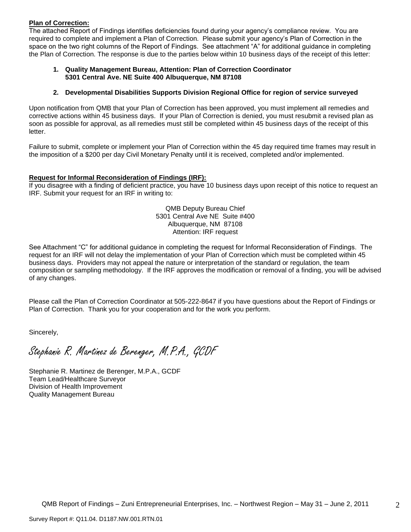## **Plan of Correction:**

The attached Report of Findings identifies deficiencies found during your agency"s compliance review. You are required to complete and implement a Plan of Correction. Please submit your agency"s Plan of Correction in the space on the two right columns of the Report of Findings. See attachment "A" for additional guidance in completing the Plan of Correction. The response is due to the parties below within 10 business days of the receipt of this letter:

#### **1. Quality Management Bureau, Attention: Plan of Correction Coordinator 5301 Central Ave. NE Suite 400 Albuquerque, NM 87108**

## **2. Developmental Disabilities Supports Division Regional Office for region of service surveyed**

Upon notification from QMB that your Plan of Correction has been approved, you must implement all remedies and corrective actions within 45 business days. If your Plan of Correction is denied, you must resubmit a revised plan as soon as possible for approval, as all remedies must still be completed within 45 business days of the receipt of this letter.

Failure to submit, complete or implement your Plan of Correction within the 45 day required time frames may result in the imposition of a \$200 per day Civil Monetary Penalty until it is received, completed and/or implemented.

## **Request for Informal Reconsideration of Findings (IRF):**

If you disagree with a finding of deficient practice, you have 10 business days upon receipt of this notice to request an IRF. Submit your request for an IRF in writing to:

> QMB Deputy Bureau Chief 5301 Central Ave NE Suite #400 Albuquerque, NM 87108 Attention: IRF request

See Attachment "C" for additional guidance in completing the request for Informal Reconsideration of Findings. The request for an IRF will not delay the implementation of your Plan of Correction which must be completed within 45 business days. Providers may not appeal the nature or interpretation of the standard or regulation, the team composition or sampling methodology. If the IRF approves the modification or removal of a finding, you will be advised of any changes.

Please call the Plan of Correction Coordinator at 505-222-8647 if you have questions about the Report of Findings or Plan of Correction. Thank you for your cooperation and for the work you perform.

Sincerely,

Stephanie R. Martinez de Berenger, M.P.A., GCDF

Stephanie R. Martinez de Berenger, M.P.A., GCDF Team Lead/Healthcare Surveyor Division of Health Improvement Quality Management Bureau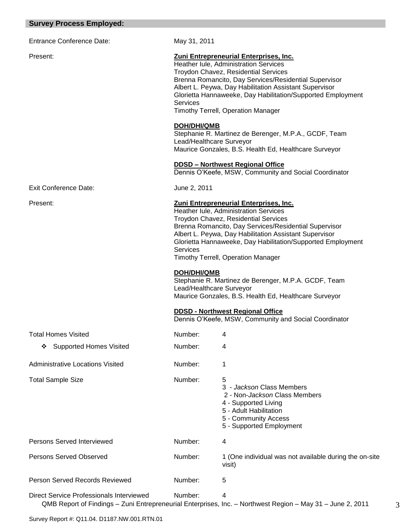## **Survey Process Employed:**

Entrance Conference Date: May 31, 2011

## Present: **Zuni Entrepreneurial Enterprises, Inc.**

Heather Iule, Administration Services Troydon Chavez, Residential Services Brenna Romancito, Day Services/Residential Supervisor Albert L. Peywa, Day Habilitation Assistant Supervisor Glorietta Hannaweeke, Day Habilitation/Supported Employment Services Timothy Terrell, Operation Manager

## **DOH/DHI/QMB**

Stephanie R. Martinez de Berenger, M.P.A., GCDF, Team Lead/Healthcare Surveyor Maurice Gonzales, B.S. Health Ed, Healthcare Surveyor

## **DDSD – Northwest Regional Office**

Dennis O"Keefe, MSW, Community and Social Coordinator

Exit Conference Date: June 2, 2011

#### Present: **Zuni Entrepreneurial Enterprises, Inc.**

Heather Iule, Administration Services Troydon Chavez, Residential Services Brenna Romancito, Day Services/Residential Supervisor Albert L. Peywa, Day Habilitation Assistant Supervisor Glorietta Hannaweeke, Day Habilitation/Supported Employment **Services** Timothy Terrell, Operation Manager

#### **DOH/DHI/QMB**

Stephanie R. Martinez de Berenger, M.P.A. GCDF, Team Lead/Healthcare Surveyor Maurice Gonzales, B.S. Health Ed, Healthcare Surveyor

## **DDSD - Northwest Regional Office**

Dennis O"Keefe, MSW, Community and Social Coordinator

| <b>Total Homes Visited</b>               | Number: | 4                                                                                                                                                                             |
|------------------------------------------|---------|-------------------------------------------------------------------------------------------------------------------------------------------------------------------------------|
| <b>Supported Homes Visited</b><br>❖      | Number: | 4                                                                                                                                                                             |
| <b>Administrative Locations Visited</b>  | Number: |                                                                                                                                                                               |
| <b>Total Sample Size</b>                 | Number: | 5<br>3 - Jackson Class Members<br>2 - Non- <i>Jackson</i> Class Members<br>4 - Supported Living<br>5 - Adult Habilitation<br>5 - Community Access<br>5 - Supported Employment |
| Persons Served Interviewed               | Number: | 4                                                                                                                                                                             |
| Persons Served Observed                  | Number: | 1 (One individual was not available during the on-site<br>visit)                                                                                                              |
| Person Served Records Reviewed           | Number: | 5                                                                                                                                                                             |
| Direct Service Professionals Interviewed | Number: | 4<br>QMB Report of Findings - Zuni Entrepreneurial Enterprises, Inc. - Northwest Region - May 31 - June 2, 2011                                                               |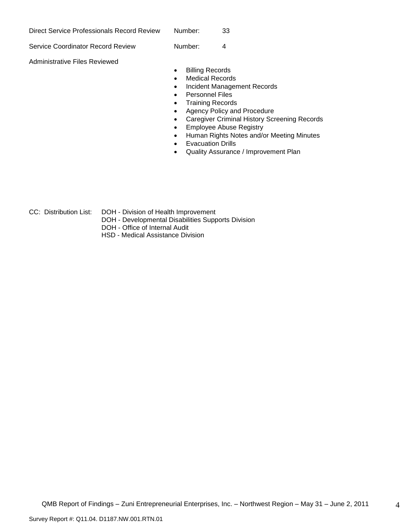| Direct Service Professionals Record Review | Number: | 33 |
|--------------------------------------------|---------|----|
| Service Coordinator Record Review          | Number: | 4  |
| Administrative Files Reviewed              |         |    |

- **•** Billing Records
- Medical Records
- Incident Management Records
- Personnel Files
- Training Records
- Agency Policy and Procedure
- Caregiver Criminal History Screening Records
- Employee Abuse Registry
- Human Rights Notes and/or Meeting Minutes
- Evacuation Drills
- Quality Assurance / Improvement Plan

- 
- CC: Distribution List: DOH Division of Health Improvement
	- DOH Developmental Disabilities Supports Division
	- DOH Office of Internal Audit
	- HSD Medical Assistance Division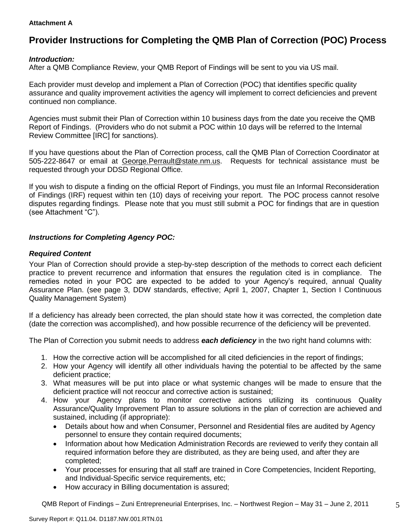## **Attachment A**

# **Provider Instructions for Completing the QMB Plan of Correction (POC) Process**

## *Introduction:*

After a QMB Compliance Review, your QMB Report of Findings will be sent to you via US mail.

Each provider must develop and implement a Plan of Correction (POC) that identifies specific quality assurance and quality improvement activities the agency will implement to correct deficiencies and prevent continued non compliance.

Agencies must submit their Plan of Correction within 10 business days from the date you receive the QMB Report of Findings. (Providers who do not submit a POC within 10 days will be referred to the Internal Review Committee [IRC] for sanctions).

If you have questions about the Plan of Correction process, call the QMB Plan of Correction Coordinator at 505-222-8647 or email at George.Perrault@state.nm.us. Requests for technical assistance must be requested through your DDSD Regional Office.

If you wish to dispute a finding on the official Report of Findings, you must file an Informal Reconsideration of Findings (IRF) request within ten (10) days of receiving your report. The POC process cannot resolve disputes regarding findings. Please note that you must still submit a POC for findings that are in question (see Attachment "C").

## *Instructions for Completing Agency POC:*

## *Required Content*

Your Plan of Correction should provide a step-by-step description of the methods to correct each deficient practice to prevent recurrence and information that ensures the regulation cited is in compliance. The remedies noted in your POC are expected to be added to your Agency"s required, annual Quality Assurance Plan. (see page 3, DDW standards, effective; April 1, 2007, Chapter 1, Section I Continuous Quality Management System)

If a deficiency has already been corrected, the plan should state how it was corrected, the completion date (date the correction was accomplished), and how possible recurrence of the deficiency will be prevented.

The Plan of Correction you submit needs to address *each deficiency* in the two right hand columns with:

- 1. How the corrective action will be accomplished for all cited deficiencies in the report of findings;
- 2. How your Agency will identify all other individuals having the potential to be affected by the same deficient practice;
- 3. What measures will be put into place or what systemic changes will be made to ensure that the deficient practice will not reoccur and corrective action is sustained;
- 4. How your Agency plans to monitor corrective actions utilizing its continuous Quality Assurance/Quality Improvement Plan to assure solutions in the plan of correction are achieved and sustained, including (if appropriate):
	- Details about how and when Consumer, Personnel and Residential files are audited by Agency personnel to ensure they contain required documents;
	- Information about how Medication Administration Records are reviewed to verify they contain all required information before they are distributed, as they are being used, and after they are completed;
	- Your processes for ensuring that all staff are trained in Core Competencies, Incident Reporting, and Individual-Specific service requirements, etc;
	- How accuracy in Billing documentation is assured;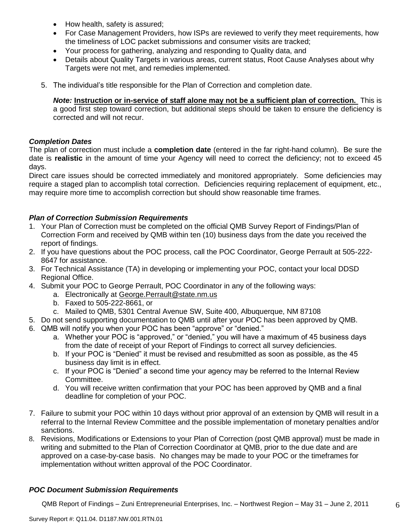- How health, safety is assured;
- For Case Management Providers, how ISPs are reviewed to verify they meet requirements, how the timeliness of LOC packet submissions and consumer visits are tracked;
- Your process for gathering, analyzing and responding to Quality data, and
- Details about Quality Targets in various areas, current status, Root Cause Analyses about why Targets were not met, and remedies implemented.
- 5. The individual"s title responsible for the Plan of Correction and completion date.

*Note:* **Instruction or in-service of staff alone may not be a sufficient plan of correction.** This is a good first step toward correction, but additional steps should be taken to ensure the deficiency is corrected and will not recur.

## *Completion Dates*

The plan of correction must include a **completion date** (entered in the far right-hand column). Be sure the date is **realistic** in the amount of time your Agency will need to correct the deficiency; not to exceed 45 days.

Direct care issues should be corrected immediately and monitored appropriately. Some deficiencies may require a staged plan to accomplish total correction. Deficiencies requiring replacement of equipment, etc., may require more time to accomplish correction but should show reasonable time frames.

## *Plan of Correction Submission Requirements*

- 1. Your Plan of Correction must be completed on the official QMB Survey Report of Findings/Plan of Correction Form and received by QMB within ten (10) business days from the date you received the report of findings.
- 2. If you have questions about the POC process, call the POC Coordinator, George Perrault at 505-222- 8647 for assistance.
- 3. For Technical Assistance (TA) in developing or implementing your POC, contact your local DDSD Regional Office.
- 4. Submit your POC to George Perrault, POC Coordinator in any of the following ways:
	- a. Electronically at [George.Perrault@state.nm.us](mailto:George.Perrault@state.nm.us)
	- b. Faxed to 505-222-8661, or
	- c. Mailed to QMB, 5301 Central Avenue SW, Suite 400, Albuquerque, NM 87108
- 5. Do not send supporting documentation to QMB until after your POC has been approved by QMB.
- 6. QMB will notify you when your POC has been "approve" or "denied."
	- a. Whether your POC is "approved," or "denied," you will have a maximum of 45 business days from the date of receipt of your Report of Findings to correct all survey deficiencies.
	- b. If your POC is "Denied" it must be revised and resubmitted as soon as possible, as the 45 business day limit is in effect.
	- c. If your POC is "Denied" a second time your agency may be referred to the Internal Review Committee.
	- d. You will receive written confirmation that your POC has been approved by QMB and a final deadline for completion of your POC.
- 7. Failure to submit your POC within 10 days without prior approval of an extension by QMB will result in a referral to the Internal Review Committee and the possible implementation of monetary penalties and/or sanctions.
- 8. Revisions, Modifications or Extensions to your Plan of Correction (post QMB approval) must be made in writing and submitted to the Plan of Correction Coordinator at QMB, prior to the due date and are approved on a case-by-case basis. No changes may be made to your POC or the timeframes for implementation without written approval of the POC Coordinator.

## *POC Document Submission Requirements*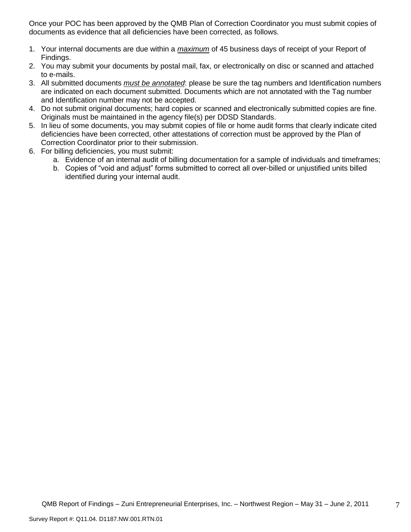Once your POC has been approved by the QMB Plan of Correction Coordinator you must submit copies of documents as evidence that all deficiencies have been corrected, as follows.

- 1. Your internal documents are due within a *maximum* of 45 business days of receipt of your Report of Findings.
- 2. You may submit your documents by postal mail, fax, or electronically on disc or scanned and attached to e-mails.
- 3. All submitted documents *must be annotated*: please be sure the tag numbers and Identification numbers are indicated on each document submitted. Documents which are not annotated with the Tag number and Identification number may not be accepted.
- 4. Do not submit original documents; hard copies or scanned and electronically submitted copies are fine. Originals must be maintained in the agency file(s) per DDSD Standards.
- 5. In lieu of some documents, you may submit copies of file or home audit forms that clearly indicate cited deficiencies have been corrected, other attestations of correction must be approved by the Plan of Correction Coordinator prior to their submission.
- 6. For billing deficiencies, you must submit:
	- a. Evidence of an internal audit of billing documentation for a sample of individuals and timeframes;
	- b. Copies of "void and adjust" forms submitted to correct all over-billed or unjustified units billed identified during your internal audit.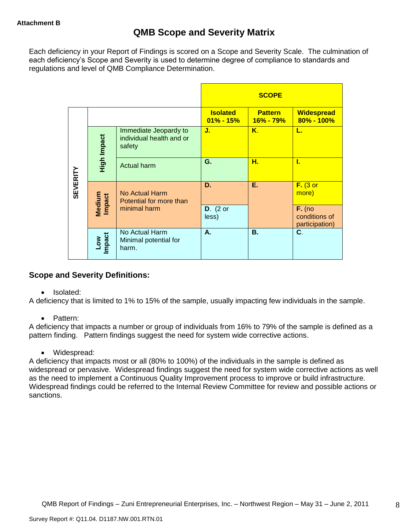Each deficiency in your Report of Findings is scored on a Scope and Severity Scale. The culmination of each deficiency's Scope and Severity is used to determine degree of compliance to standards and regulations and level of QMB Compliance Determination.

|                 |                      |                                                             |                                  | <b>SCOPE</b>                    |                                             |
|-----------------|----------------------|-------------------------------------------------------------|----------------------------------|---------------------------------|---------------------------------------------|
|                 |                      |                                                             | <b>Isolated</b><br>$01\% - 15\%$ | <b>Pattern</b><br>$16\% - 79\%$ | <b>Widespread</b><br>$80\% - 100\%$         |
|                 | High Impact          | Immediate Jeopardy to<br>individual health and or<br>safety | J.                               | Κ.                              | L.                                          |
|                 |                      | Actual harm                                                 | G.                               | Н.                              | L                                           |
| <b>SEVERITY</b> | Medium<br>Impact     | <b>No Actual Harm</b><br>Potential for more than            | D.                               | Е.                              | $F.$ (3 or<br>more)                         |
|                 |                      | minimal harm                                                | $D.$ (2 or<br>less)              |                                 | $F.$ (no<br>conditions of<br>participation) |
|                 | <b>Impact</b><br>Low | No Actual Harm<br>Minimal potential for<br>harm.            | А.                               | <b>B.</b>                       | C.                                          |

## **Scope and Severity Definitions:**

• Isolated:

A deficiency that is limited to 1% to 15% of the sample, usually impacting few individuals in the sample.

• Pattern:

A deficiency that impacts a number or group of individuals from 16% to 79% of the sample is defined as a pattern finding. Pattern findings suggest the need for system wide corrective actions.

• Widespread:

A deficiency that impacts most or all (80% to 100%) of the individuals in the sample is defined as widespread or pervasive. Widespread findings suggest the need for system wide corrective actions as well as the need to implement a Continuous Quality Improvement process to improve or build infrastructure. Widespread findings could be referred to the Internal Review Committee for review and possible actions or sanctions.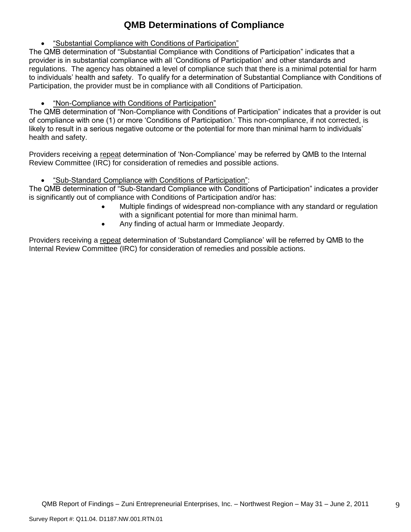# **QMB Determinations of Compliance**

"Substantial Compliance with Conditions of Participation"

The QMB determination of "Substantial Compliance with Conditions of Participation" indicates that a provider is in substantial compliance with all "Conditions of Participation" and other standards and regulations. The agency has obtained a level of compliance such that there is a minimal potential for harm to individuals" health and safety. To qualify for a determination of Substantial Compliance with Conditions of Participation, the provider must be in compliance with all Conditions of Participation.

"Non-Compliance with Conditions of Participation"

The QMB determination of "Non-Compliance with Conditions of Participation" indicates that a provider is out of compliance with one (1) or more "Conditions of Participation." This non-compliance, if not corrected, is likely to result in a serious negative outcome or the potential for more than minimal harm to individuals" health and safety.

Providers receiving a repeat determination of 'Non-Compliance' may be referred by QMB to the Internal Review Committee (IRC) for consideration of remedies and possible actions.

"Sub-Standard Compliance with Conditions of Participation":

The QMB determination of "Sub-Standard Compliance with Conditions of Participation" indicates a provider is significantly out of compliance with Conditions of Participation and/or has:

- Multiple findings of widespread non-compliance with any standard or regulation with a significant potential for more than minimal harm.
- Any finding of actual harm or Immediate Jeopardy.

Providers receiving a repeat determination of 'Substandard Compliance' will be referred by QMB to the Internal Review Committee (IRC) for consideration of remedies and possible actions.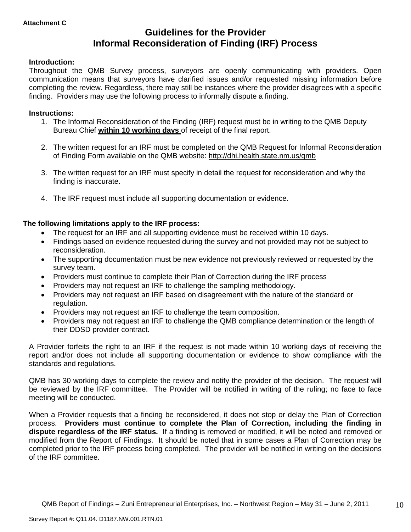## **Guidelines for the Provider Informal Reconsideration of Finding (IRF) Process**

## **Introduction:**

Throughout the QMB Survey process, surveyors are openly communicating with providers. Open communication means that surveyors have clarified issues and/or requested missing information before completing the review. Regardless, there may still be instances where the provider disagrees with a specific finding. Providers may use the following process to informally dispute a finding.

## **Instructions:**

- 1. The Informal Reconsideration of the Finding (IRF) request must be in writing to the QMB Deputy Bureau Chief **within 10 working days** of receipt of the final report.
- 2. The written request for an IRF must be completed on the QMB Request for Informal Reconsideration of Finding Form available on the QMB website:<http://dhi.health.state.nm.us/qmb>
- 3. The written request for an IRF must specify in detail the request for reconsideration and why the finding is inaccurate.
- 4. The IRF request must include all supporting documentation or evidence.

## **The following limitations apply to the IRF process:**

- The request for an IRF and all supporting evidence must be received within 10 days.
- Findings based on evidence requested during the survey and not provided may not be subject to reconsideration.
- The supporting documentation must be new evidence not previously reviewed or requested by the survey team.
- Providers must continue to complete their Plan of Correction during the IRF process
- Providers may not request an IRF to challenge the sampling methodology.
- Providers may not request an IRF based on disagreement with the nature of the standard or regulation.
- Providers may not request an IRF to challenge the team composition.
- Providers may not request an IRF to challenge the QMB compliance determination or the length of their DDSD provider contract.

A Provider forfeits the right to an IRF if the request is not made within 10 working days of receiving the report and/or does not include all supporting documentation or evidence to show compliance with the standards and regulations.

QMB has 30 working days to complete the review and notify the provider of the decision. The request will be reviewed by the IRF committee. The Provider will be notified in writing of the ruling; no face to face meeting will be conducted.

When a Provider requests that a finding be reconsidered, it does not stop or delay the Plan of Correction process. **Providers must continue to complete the Plan of Correction, including the finding in dispute regardless of the IRF status.** If a finding is removed or modified, it will be noted and removed or modified from the Report of Findings. It should be noted that in some cases a Plan of Correction may be completed prior to the IRF process being completed. The provider will be notified in writing on the decisions of the IRF committee.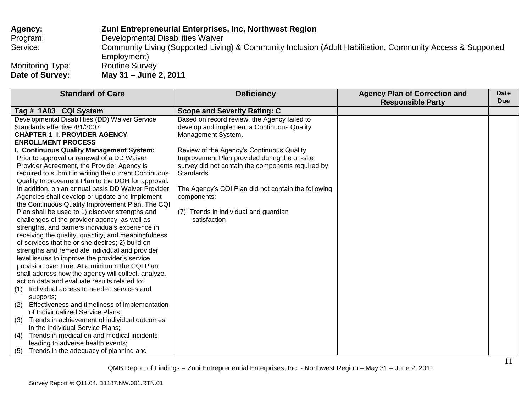| <b>Agency:</b>   | Zuni Entrepreneurial Enterprises, Inc, Northwest Region                                                     |
|------------------|-------------------------------------------------------------------------------------------------------------|
| Program:         | Developmental Disabilities Waiver                                                                           |
| Service:         | Community Living (Supported Living) & Community Inclusion (Adult Habilitation, Community Access & Supported |
|                  | Employment)                                                                                                 |
| Monitoring Type: | <b>Routine Survey</b>                                                                                       |
| Date of Survey:  | May 31 - June 2, 2011                                                                                       |

| <b>Standard of Care</b>                                     | <b>Deficiency</b>                                   | <b>Agency Plan of Correction and</b><br><b>Responsible Party</b> | Date<br><b>Due</b> |
|-------------------------------------------------------------|-----------------------------------------------------|------------------------------------------------------------------|--------------------|
| Tag # 1A03 CQI System                                       | <b>Scope and Severity Rating: C</b>                 |                                                                  |                    |
| Developmental Disabilities (DD) Waiver Service              | Based on record review, the Agency failed to        |                                                                  |                    |
| Standards effective 4/1/2007                                | develop and implement a Continuous Quality          |                                                                  |                    |
| <b>CHAPTER 1 I. PROVIDER AGENCY</b>                         | Management System.                                  |                                                                  |                    |
| <b>ENROLLMENT PROCESS</b>                                   |                                                     |                                                                  |                    |
| I. Continuous Quality Management System:                    | Review of the Agency's Continuous Quality           |                                                                  |                    |
| Prior to approval or renewal of a DD Waiver                 | Improvement Plan provided during the on-site        |                                                                  |                    |
| Provider Agreement, the Provider Agency is                  | survey did not contain the components required by   |                                                                  |                    |
| required to submit in writing the current Continuous        | Standards.                                          |                                                                  |                    |
| Quality Improvement Plan to the DOH for approval.           |                                                     |                                                                  |                    |
| In addition, on an annual basis DD Waiver Provider          | The Agency's CQI Plan did not contain the following |                                                                  |                    |
| Agencies shall develop or update and implement              | components:                                         |                                                                  |                    |
| the Continuous Quality Improvement Plan. The CQI            |                                                     |                                                                  |                    |
| Plan shall be used to 1) discover strengths and             | (7) Trends in individual and guardian               |                                                                  |                    |
| challenges of the provider agency, as well as               | satisfaction                                        |                                                                  |                    |
| strengths, and barriers individuals experience in           |                                                     |                                                                  |                    |
| receiving the quality, quantity, and meaningfulness         |                                                     |                                                                  |                    |
| of services that he or she desires; 2) build on             |                                                     |                                                                  |                    |
| strengths and remediate individual and provider             |                                                     |                                                                  |                    |
| level issues to improve the provider's service              |                                                     |                                                                  |                    |
| provision over time. At a minimum the CQI Plan              |                                                     |                                                                  |                    |
| shall address how the agency will collect, analyze,         |                                                     |                                                                  |                    |
| act on data and evaluate results related to:                |                                                     |                                                                  |                    |
| Individual access to needed services and<br>(1)             |                                                     |                                                                  |                    |
| supports;<br>Effectiveness and timeliness of implementation |                                                     |                                                                  |                    |
| (2)<br>of Individualized Service Plans;                     |                                                     |                                                                  |                    |
| Trends in achievement of individual outcomes<br>(3)         |                                                     |                                                                  |                    |
| in the Individual Service Plans;                            |                                                     |                                                                  |                    |
| Trends in medication and medical incidents<br>(4)           |                                                     |                                                                  |                    |
| leading to adverse health events;                           |                                                     |                                                                  |                    |
| (5)<br>Trends in the adequacy of planning and               |                                                     |                                                                  |                    |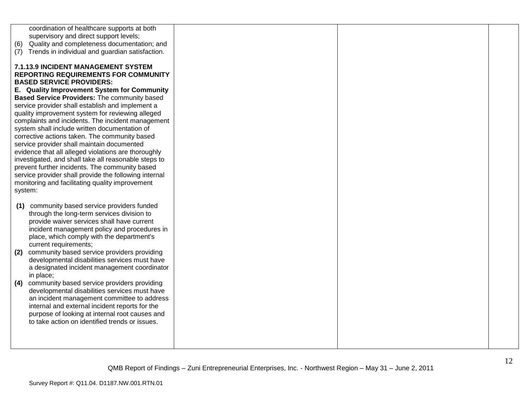| coordination of healthcare supports at both            |  |
|--------------------------------------------------------|--|
| supervisory and direct support levels;                 |  |
| Quality and completeness documentation; and            |  |
| (6)                                                    |  |
| Trends in individual and guardian satisfaction.<br>(7) |  |
|                                                        |  |
| <b>7.1.13.9 INCIDENT MANAGEMENT SYSTEM</b>             |  |
| <b>REPORTING REQUIREMENTS FOR COMMUNITY</b>            |  |
| <b>BASED SERVICE PROVIDERS:</b>                        |  |
| E. Quality Improvement System for Community            |  |
| Based Service Providers: The community based           |  |
| service provider shall establish and implement a       |  |
| quality improvement system for reviewing alleged       |  |
| complaints and incidents. The incident management      |  |
| system shall include written documentation of          |  |
| corrective actions taken. The community based          |  |
| service provider shall maintain documented             |  |
| evidence that all alleged violations are thoroughly    |  |
| investigated, and shall take all reasonable steps to   |  |
| prevent further incidents. The community based         |  |
| service provider shall provide the following internal  |  |
| monitoring and facilitating quality improvement        |  |
| system:                                                |  |
|                                                        |  |
| community based service providers funded<br>(1)        |  |
| through the long-term services division to             |  |
| provide waiver services shall have current             |  |
| incident management policy and procedures in           |  |
| place, which comply with the department's              |  |
| current requirements;                                  |  |
|                                                        |  |
| community based service providers providing<br>(2)     |  |
| developmental disabilities services must have          |  |
| a designated incident management coordinator           |  |
| in place;                                              |  |
| (4)<br>community based service providers providing     |  |
| developmental disabilities services must have          |  |
| an incident management committee to address            |  |
| internal and external incident reports for the         |  |
| purpose of looking at internal root causes and         |  |
| to take action on identified trends or issues.         |  |
|                                                        |  |
|                                                        |  |
|                                                        |  |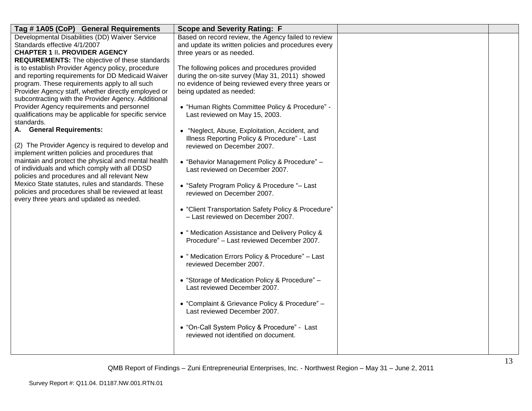| Developmental Disabilities (DD) Waiver Service<br>Based on record review, the Agency failed to review<br>Standards effective 4/1/2007<br>and update its written policies and procedures every<br><b>CHAPTER 1 II. PROVIDER AGENCY</b><br>three years or as needed.<br><b>REQUIREMENTS:</b> The objective of these standards<br>is to establish Provider Agency policy, procedure<br>The following polices and procedures provided<br>and reporting requirements for DD Medicaid Waiver<br>during the on-site survey (May 31, 2011) showed<br>program. These requirements apply to all such<br>no evidence of being reviewed every three years or |
|--------------------------------------------------------------------------------------------------------------------------------------------------------------------------------------------------------------------------------------------------------------------------------------------------------------------------------------------------------------------------------------------------------------------------------------------------------------------------------------------------------------------------------------------------------------------------------------------------------------------------------------------------|
|                                                                                                                                                                                                                                                                                                                                                                                                                                                                                                                                                                                                                                                  |
|                                                                                                                                                                                                                                                                                                                                                                                                                                                                                                                                                                                                                                                  |
|                                                                                                                                                                                                                                                                                                                                                                                                                                                                                                                                                                                                                                                  |
|                                                                                                                                                                                                                                                                                                                                                                                                                                                                                                                                                                                                                                                  |
|                                                                                                                                                                                                                                                                                                                                                                                                                                                                                                                                                                                                                                                  |
|                                                                                                                                                                                                                                                                                                                                                                                                                                                                                                                                                                                                                                                  |
|                                                                                                                                                                                                                                                                                                                                                                                                                                                                                                                                                                                                                                                  |
| Provider Agency staff, whether directly employed or<br>being updated as needed:                                                                                                                                                                                                                                                                                                                                                                                                                                                                                                                                                                  |
| subcontracting with the Provider Agency. Additional                                                                                                                                                                                                                                                                                                                                                                                                                                                                                                                                                                                              |
| Provider Agency requirements and personnel<br>• "Human Rights Committee Policy & Procedure" -                                                                                                                                                                                                                                                                                                                                                                                                                                                                                                                                                    |
| qualifications may be applicable for specific service<br>Last reviewed on May 15, 2003.                                                                                                                                                                                                                                                                                                                                                                                                                                                                                                                                                          |
| standards.                                                                                                                                                                                                                                                                                                                                                                                                                                                                                                                                                                                                                                       |
| A. General Requirements:<br>• "Neglect, Abuse, Exploitation, Accident, and                                                                                                                                                                                                                                                                                                                                                                                                                                                                                                                                                                       |
| Illness Reporting Policy & Procedure" - Last                                                                                                                                                                                                                                                                                                                                                                                                                                                                                                                                                                                                     |
| (2) The Provider Agency is required to develop and<br>reviewed on December 2007.                                                                                                                                                                                                                                                                                                                                                                                                                                                                                                                                                                 |
| implement written policies and procedures that                                                                                                                                                                                                                                                                                                                                                                                                                                                                                                                                                                                                   |
| maintain and protect the physical and mental health<br>• "Behavior Management Policy & Procedure" -                                                                                                                                                                                                                                                                                                                                                                                                                                                                                                                                              |
| of individuals and which comply with all DDSD<br>Last reviewed on December 2007.<br>policies and procedures and all relevant New                                                                                                                                                                                                                                                                                                                                                                                                                                                                                                                 |
| Mexico State statutes, rules and standards. These                                                                                                                                                                                                                                                                                                                                                                                                                                                                                                                                                                                                |
| • "Safety Program Policy & Procedure "- Last<br>policies and procedures shall be reviewed at least                                                                                                                                                                                                                                                                                                                                                                                                                                                                                                                                               |
| reviewed on December 2007.<br>every three years and updated as needed.                                                                                                                                                                                                                                                                                                                                                                                                                                                                                                                                                                           |
|                                                                                                                                                                                                                                                                                                                                                                                                                                                                                                                                                                                                                                                  |
| • "Client Transportation Safety Policy & Procedure"                                                                                                                                                                                                                                                                                                                                                                                                                                                                                                                                                                                              |
| - Last reviewed on December 2007.                                                                                                                                                                                                                                                                                                                                                                                                                                                                                                                                                                                                                |
| • "Medication Assistance and Delivery Policy &                                                                                                                                                                                                                                                                                                                                                                                                                                                                                                                                                                                                   |
| Procedure" - Last reviewed December 2007.                                                                                                                                                                                                                                                                                                                                                                                                                                                                                                                                                                                                        |
|                                                                                                                                                                                                                                                                                                                                                                                                                                                                                                                                                                                                                                                  |
| • "Medication Errors Policy & Procedure" - Last                                                                                                                                                                                                                                                                                                                                                                                                                                                                                                                                                                                                  |
| reviewed December 2007.                                                                                                                                                                                                                                                                                                                                                                                                                                                                                                                                                                                                                          |
|                                                                                                                                                                                                                                                                                                                                                                                                                                                                                                                                                                                                                                                  |
| • "Storage of Medication Policy & Procedure" -                                                                                                                                                                                                                                                                                                                                                                                                                                                                                                                                                                                                   |
| Last reviewed December 2007.                                                                                                                                                                                                                                                                                                                                                                                                                                                                                                                                                                                                                     |
|                                                                                                                                                                                                                                                                                                                                                                                                                                                                                                                                                                                                                                                  |
| • "Complaint & Grievance Policy & Procedure" -                                                                                                                                                                                                                                                                                                                                                                                                                                                                                                                                                                                                   |
| Last reviewed December 2007.                                                                                                                                                                                                                                                                                                                                                                                                                                                                                                                                                                                                                     |
|                                                                                                                                                                                                                                                                                                                                                                                                                                                                                                                                                                                                                                                  |
| • "On-Call System Policy & Procedure" - Last                                                                                                                                                                                                                                                                                                                                                                                                                                                                                                                                                                                                     |
| reviewed not identified on document.                                                                                                                                                                                                                                                                                                                                                                                                                                                                                                                                                                                                             |
|                                                                                                                                                                                                                                                                                                                                                                                                                                                                                                                                                                                                                                                  |
|                                                                                                                                                                                                                                                                                                                                                                                                                                                                                                                                                                                                                                                  |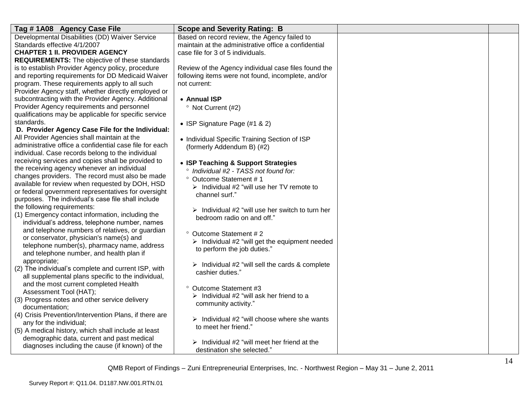| Standards effective 4/1/2007<br>maintain at the administrative office a confidential<br><b>CHAPTER 1 II. PROVIDER AGENCY</b><br>case file for 3 of 5 individuals.<br><b>REQUIREMENTS:</b> The objective of these standards<br>is to establish Provider Agency policy, procedure<br>Review of the Agency individual case files found the<br>and reporting requirements for DD Medicaid Waiver<br>following items were not found, incomplete, and/or<br>program. These requirements apply to all such<br>not current:<br>Provider Agency staff, whether directly employed or<br>subcontracting with the Provider Agency. Additional<br>• Annual ISP<br>Provider Agency requirements and personnel<br><sup>o</sup> Not Current (#2)<br>qualifications may be applicable for specific service<br>standards.<br>• ISP Signature Page (#1 & 2)<br>D. Provider Agency Case File for the Individual: | Tag #1A08 Agency Case File                     | <b>Scope and Severity Rating: B</b>          |  |
|----------------------------------------------------------------------------------------------------------------------------------------------------------------------------------------------------------------------------------------------------------------------------------------------------------------------------------------------------------------------------------------------------------------------------------------------------------------------------------------------------------------------------------------------------------------------------------------------------------------------------------------------------------------------------------------------------------------------------------------------------------------------------------------------------------------------------------------------------------------------------------------------|------------------------------------------------|----------------------------------------------|--|
|                                                                                                                                                                                                                                                                                                                                                                                                                                                                                                                                                                                                                                                                                                                                                                                                                                                                                              | Developmental Disabilities (DD) Waiver Service | Based on record review, the Agency failed to |  |
|                                                                                                                                                                                                                                                                                                                                                                                                                                                                                                                                                                                                                                                                                                                                                                                                                                                                                              |                                                |                                              |  |
|                                                                                                                                                                                                                                                                                                                                                                                                                                                                                                                                                                                                                                                                                                                                                                                                                                                                                              |                                                |                                              |  |
|                                                                                                                                                                                                                                                                                                                                                                                                                                                                                                                                                                                                                                                                                                                                                                                                                                                                                              |                                                |                                              |  |
|                                                                                                                                                                                                                                                                                                                                                                                                                                                                                                                                                                                                                                                                                                                                                                                                                                                                                              |                                                |                                              |  |
|                                                                                                                                                                                                                                                                                                                                                                                                                                                                                                                                                                                                                                                                                                                                                                                                                                                                                              |                                                |                                              |  |
|                                                                                                                                                                                                                                                                                                                                                                                                                                                                                                                                                                                                                                                                                                                                                                                                                                                                                              |                                                |                                              |  |
|                                                                                                                                                                                                                                                                                                                                                                                                                                                                                                                                                                                                                                                                                                                                                                                                                                                                                              |                                                |                                              |  |
|                                                                                                                                                                                                                                                                                                                                                                                                                                                                                                                                                                                                                                                                                                                                                                                                                                                                                              |                                                |                                              |  |
|                                                                                                                                                                                                                                                                                                                                                                                                                                                                                                                                                                                                                                                                                                                                                                                                                                                                                              |                                                |                                              |  |
|                                                                                                                                                                                                                                                                                                                                                                                                                                                                                                                                                                                                                                                                                                                                                                                                                                                                                              |                                                |                                              |  |
|                                                                                                                                                                                                                                                                                                                                                                                                                                                                                                                                                                                                                                                                                                                                                                                                                                                                                              |                                                |                                              |  |
|                                                                                                                                                                                                                                                                                                                                                                                                                                                                                                                                                                                                                                                                                                                                                                                                                                                                                              |                                                |                                              |  |
| • Individual Specific Training Section of ISP                                                                                                                                                                                                                                                                                                                                                                                                                                                                                                                                                                                                                                                                                                                                                                                                                                                | All Provider Agencies shall maintain at the    |                                              |  |
| administrative office a confidential case file for each<br>(formerly Addendum B) (#2)                                                                                                                                                                                                                                                                                                                                                                                                                                                                                                                                                                                                                                                                                                                                                                                                        |                                                |                                              |  |
| individual. Case records belong to the individual                                                                                                                                                                                                                                                                                                                                                                                                                                                                                                                                                                                                                                                                                                                                                                                                                                            |                                                |                                              |  |
| receiving services and copies shall be provided to<br>• ISP Teaching & Support Strategies                                                                                                                                                                                                                                                                                                                                                                                                                                                                                                                                                                                                                                                                                                                                                                                                    |                                                |                                              |  |
| the receiving agency whenever an individual<br>° Individual #2 - TASS not found for:                                                                                                                                                                                                                                                                                                                                                                                                                                                                                                                                                                                                                                                                                                                                                                                                         |                                                |                                              |  |
| changes providers. The record must also be made<br>° Outcome Statement #1                                                                                                                                                                                                                                                                                                                                                                                                                                                                                                                                                                                                                                                                                                                                                                                                                    |                                                |                                              |  |
| available for review when requested by DOH, HSD<br>$\triangleright$ Individual #2 "will use her TV remote to                                                                                                                                                                                                                                                                                                                                                                                                                                                                                                                                                                                                                                                                                                                                                                                 |                                                |                                              |  |
| or federal government representatives for oversight<br>channel surf."                                                                                                                                                                                                                                                                                                                                                                                                                                                                                                                                                                                                                                                                                                                                                                                                                        |                                                |                                              |  |
| purposes. The individual's case file shall include                                                                                                                                                                                                                                                                                                                                                                                                                                                                                                                                                                                                                                                                                                                                                                                                                                           |                                                |                                              |  |
| the following requirements:<br>$\triangleright$ Individual #2 "will use her switch to turn her                                                                                                                                                                                                                                                                                                                                                                                                                                                                                                                                                                                                                                                                                                                                                                                               |                                                |                                              |  |
| (1) Emergency contact information, including the<br>bedroom radio on and off."                                                                                                                                                                                                                                                                                                                                                                                                                                                                                                                                                                                                                                                                                                                                                                                                               |                                                |                                              |  |
| individual's address, telephone number, names                                                                                                                                                                                                                                                                                                                                                                                                                                                                                                                                                                                                                                                                                                                                                                                                                                                |                                                |                                              |  |
| and telephone numbers of relatives, or guardian<br>° Outcome Statement #2                                                                                                                                                                                                                                                                                                                                                                                                                                                                                                                                                                                                                                                                                                                                                                                                                    |                                                |                                              |  |
| or conservator, physician's name(s) and<br>$\triangleright$ Individual #2 "will get the equipment needed                                                                                                                                                                                                                                                                                                                                                                                                                                                                                                                                                                                                                                                                                                                                                                                     |                                                |                                              |  |
| telephone number(s), pharmacy name, address<br>to perform the job duties."                                                                                                                                                                                                                                                                                                                                                                                                                                                                                                                                                                                                                                                                                                                                                                                                                   |                                                |                                              |  |
| and telephone number, and health plan if                                                                                                                                                                                                                                                                                                                                                                                                                                                                                                                                                                                                                                                                                                                                                                                                                                                     |                                                |                                              |  |
| appropriate;<br>$\triangleright$ Individual #2 "will sell the cards & complete                                                                                                                                                                                                                                                                                                                                                                                                                                                                                                                                                                                                                                                                                                                                                                                                               |                                                |                                              |  |
| (2) The individual's complete and current ISP, with<br>cashier duties."                                                                                                                                                                                                                                                                                                                                                                                                                                                                                                                                                                                                                                                                                                                                                                                                                      |                                                |                                              |  |
| all supplemental plans specific to the individual,                                                                                                                                                                                                                                                                                                                                                                                                                                                                                                                                                                                                                                                                                                                                                                                                                                           |                                                |                                              |  |
| and the most current completed Health<br>° Outcome Statement #3                                                                                                                                                                                                                                                                                                                                                                                                                                                                                                                                                                                                                                                                                                                                                                                                                              |                                                |                                              |  |
| Assessment Tool (HAT);<br>$\triangleright$ Individual #2 "will ask her friend to a                                                                                                                                                                                                                                                                                                                                                                                                                                                                                                                                                                                                                                                                                                                                                                                                           |                                                |                                              |  |
| (3) Progress notes and other service delivery<br>community activity."                                                                                                                                                                                                                                                                                                                                                                                                                                                                                                                                                                                                                                                                                                                                                                                                                        |                                                |                                              |  |
| documentation:                                                                                                                                                                                                                                                                                                                                                                                                                                                                                                                                                                                                                                                                                                                                                                                                                                                                               |                                                |                                              |  |
| (4) Crisis Prevention/Intervention Plans, if there are<br>$\triangleright$ Individual #2 "will choose where she wants                                                                                                                                                                                                                                                                                                                                                                                                                                                                                                                                                                                                                                                                                                                                                                        |                                                |                                              |  |
| any for the individual;<br>to meet her friend."                                                                                                                                                                                                                                                                                                                                                                                                                                                                                                                                                                                                                                                                                                                                                                                                                                              |                                                |                                              |  |
| (5) A medical history, which shall include at least                                                                                                                                                                                                                                                                                                                                                                                                                                                                                                                                                                                                                                                                                                                                                                                                                                          |                                                |                                              |  |
| demographic data, current and past medical<br>$\triangleright$ Individual #2 "will meet her friend at the                                                                                                                                                                                                                                                                                                                                                                                                                                                                                                                                                                                                                                                                                                                                                                                    |                                                |                                              |  |
| diagnoses including the cause (if known) of the<br>destination she selected."                                                                                                                                                                                                                                                                                                                                                                                                                                                                                                                                                                                                                                                                                                                                                                                                                |                                                |                                              |  |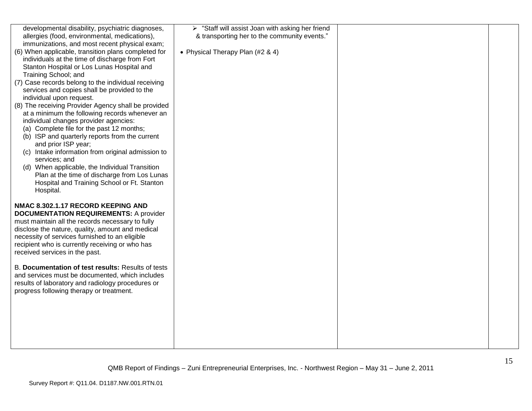| developmental disability, psychiatric diagnoses,    | > "Staff will assist Joan with asking her friend |  |
|-----------------------------------------------------|--------------------------------------------------|--|
| allergies (food, environmental, medications),       | & transporting her to the community events."     |  |
| immunizations, and most recent physical exam;       |                                                  |  |
| (6) When applicable, transition plans completed for | • Physical Therapy Plan (#2 & 4)                 |  |
| individuals at the time of discharge from Fort      |                                                  |  |
|                                                     |                                                  |  |
| Stanton Hospital or Los Lunas Hospital and          |                                                  |  |
| Training School; and                                |                                                  |  |
| (7) Case records belong to the individual receiving |                                                  |  |
| services and copies shall be provided to the        |                                                  |  |
| individual upon request.                            |                                                  |  |
| (8) The receiving Provider Agency shall be provided |                                                  |  |
| at a minimum the following records whenever an      |                                                  |  |
| individual changes provider agencies:               |                                                  |  |
| (a) Complete file for the past 12 months;           |                                                  |  |
| (b) ISP and quarterly reports from the current      |                                                  |  |
| and prior ISP year;                                 |                                                  |  |
| (c) Intake information from original admission to   |                                                  |  |
| services; and                                       |                                                  |  |
| (d) When applicable, the Individual Transition      |                                                  |  |
| Plan at the time of discharge from Los Lunas        |                                                  |  |
| Hospital and Training School or Ft. Stanton         |                                                  |  |
| Hospital.                                           |                                                  |  |
|                                                     |                                                  |  |
| NMAC 8.302.1.17 RECORD KEEPING AND                  |                                                  |  |
| <b>DOCUMENTATION REQUIREMENTS: A provider</b>       |                                                  |  |
| must maintain all the records necessary to fully    |                                                  |  |
| disclose the nature, quality, amount and medical    |                                                  |  |
| necessity of services furnished to an eligible      |                                                  |  |
| recipient who is currently receiving or who has     |                                                  |  |
| received services in the past.                      |                                                  |  |
|                                                     |                                                  |  |
| B. Documentation of test results: Results of tests  |                                                  |  |
|                                                     |                                                  |  |
| and services must be documented, which includes     |                                                  |  |
| results of laboratory and radiology procedures or   |                                                  |  |
| progress following therapy or treatment.            |                                                  |  |
|                                                     |                                                  |  |
|                                                     |                                                  |  |
|                                                     |                                                  |  |
|                                                     |                                                  |  |
|                                                     |                                                  |  |
|                                                     |                                                  |  |
|                                                     |                                                  |  |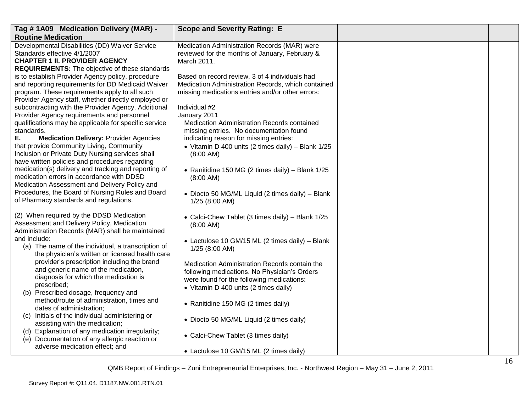| Tag #1A09 Medication Delivery (MAR) -                                                                                                                                                                          | <b>Scope and Severity Rating: E</b>                                                                                                                      |  |
|----------------------------------------------------------------------------------------------------------------------------------------------------------------------------------------------------------------|----------------------------------------------------------------------------------------------------------------------------------------------------------|--|
| <b>Routine Medication</b>                                                                                                                                                                                      |                                                                                                                                                          |  |
| Developmental Disabilities (DD) Waiver Service<br>Standards effective 4/1/2007<br><b>CHAPTER 1 II. PROVIDER AGENCY</b><br><b>REQUIREMENTS:</b> The objective of these standards                                | Medication Administration Records (MAR) were<br>reviewed for the months of January, February &<br>March 2011.                                            |  |
| is to establish Provider Agency policy, procedure<br>and reporting requirements for DD Medicaid Waiver<br>program. These requirements apply to all such<br>Provider Agency staff, whether directly employed or | Based on record review, 3 of 4 individuals had<br>Medication Administration Records, which contained<br>missing medications entries and/or other errors: |  |
| subcontracting with the Provider Agency. Additional<br>Provider Agency requirements and personnel<br>qualifications may be applicable for specific service<br>standards.                                       | Individual #2<br>January 2011<br><b>Medication Administration Records contained</b><br>missing entries. No documentation found                           |  |
| Ε.<br><b>Medication Delivery: Provider Agencies</b><br>that provide Community Living, Community<br>Inclusion or Private Duty Nursing services shall<br>have written policies and procedures regarding          | indicating reason for missing entries:<br>• Vitamin D 400 units (2 times daily) - Blank 1/25<br>(8:00 AM)                                                |  |
| medication(s) delivery and tracking and reporting of<br>medication errors in accordance with DDSD<br>Medication Assessment and Delivery Policy and<br>Procedures, the Board of Nursing Rules and Board         | • Ranitidine 150 MG (2 times daily) - Blank 1/25<br>$(8:00$ AM)<br>· Diocto 50 MG/ML Liquid (2 times daily) - Blank                                      |  |
| of Pharmacy standards and regulations.                                                                                                                                                                         | $1/25$ (8:00 AM)                                                                                                                                         |  |
| (2) When required by the DDSD Medication<br>Assessment and Delivery Policy, Medication<br>Administration Records (MAR) shall be maintained                                                                     | • Calci-Chew Tablet (3 times daily) - Blank 1/25<br>(8:00 AM)                                                                                            |  |
| and include:<br>(a) The name of the individual, a transcription of<br>the physician's written or licensed health care<br>provider's prescription including the brand                                           | • Lactulose 10 GM/15 ML (2 times daily) - Blank<br>$1/25$ (8:00 AM)                                                                                      |  |
| and generic name of the medication,<br>diagnosis for which the medication is<br>prescribed;                                                                                                                    | Medication Administration Records contain the<br>following medications. No Physician's Orders<br>were found for the following medications:               |  |
| (b) Prescribed dosage, frequency and<br>method/route of administration, times and                                                                                                                              | • Vitamin D 400 units (2 times daily)<br>• Ranitidine 150 MG (2 times daily)                                                                             |  |
| dates of administration;<br>(c) Initials of the individual administering or<br>assisting with the medication;                                                                                                  | • Diocto 50 MG/ML Liquid (2 times daily)                                                                                                                 |  |
| (d) Explanation of any medication irregularity;<br>(e) Documentation of any allergic reaction or<br>adverse medication effect; and                                                                             | • Calci-Chew Tablet (3 times daily)                                                                                                                      |  |
|                                                                                                                                                                                                                | • Lactulose 10 GM/15 ML (2 times daily)                                                                                                                  |  |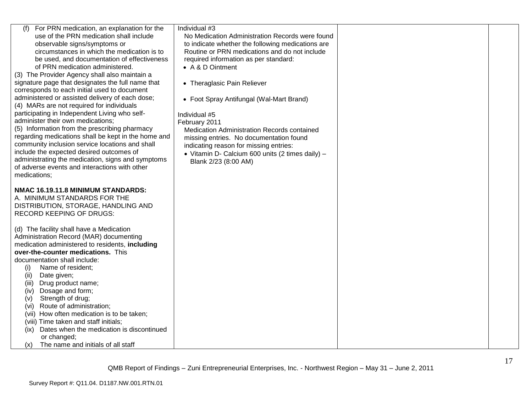| For PRN medication, an explanation for the<br>(f)<br>use of the PRN medication shall include<br>observable signs/symptoms or<br>circumstances in which the medication is to<br>be used, and documentation of effectiveness<br>of PRN medication administered.<br>(3) The Provider Agency shall also maintain a<br>signature page that designates the full name that<br>corresponds to each initial used to document<br>administered or assisted delivery of each dose;<br>(4) MARs are not required for individuals<br>participating in Independent Living who self-<br>administer their own medications;<br>(5) Information from the prescribing pharmacy<br>regarding medications shall be kept in the home and<br>community inclusion service locations and shall<br>include the expected desired outcomes of<br>administrating the medication, signs and symptoms<br>of adverse events and interactions with other<br>medications; | Individual #3<br>No Medication Administration Records were found<br>to indicate whether the following medications are<br>Routine or PRN medications and do not include<br>required information as per standard:<br>• A & D Ointment<br>• Theraglasic Pain Reliever<br>• Foot Spray Antifungal (Wal-Mart Brand)<br>Individual #5<br>February 2011<br>Medication Administration Records contained<br>missing entries. No documentation found<br>indicating reason for missing entries:<br>• Vitamin D- Calcium 600 units (2 times daily) -<br>Blank 2/23 (8:00 AM) |  |
|----------------------------------------------------------------------------------------------------------------------------------------------------------------------------------------------------------------------------------------------------------------------------------------------------------------------------------------------------------------------------------------------------------------------------------------------------------------------------------------------------------------------------------------------------------------------------------------------------------------------------------------------------------------------------------------------------------------------------------------------------------------------------------------------------------------------------------------------------------------------------------------------------------------------------------------|------------------------------------------------------------------------------------------------------------------------------------------------------------------------------------------------------------------------------------------------------------------------------------------------------------------------------------------------------------------------------------------------------------------------------------------------------------------------------------------------------------------------------------------------------------------|--|
| NMAC 16.19.11.8 MINIMUM STANDARDS:<br>A. MINIMUM STANDARDS FOR THE<br>DISTRIBUTION, STORAGE, HANDLING AND<br><b>RECORD KEEPING OF DRUGS:</b>                                                                                                                                                                                                                                                                                                                                                                                                                                                                                                                                                                                                                                                                                                                                                                                           |                                                                                                                                                                                                                                                                                                                                                                                                                                                                                                                                                                  |  |
| (d) The facility shall have a Medication<br>Administration Record (MAR) documenting<br>medication administered to residents, including<br>over-the-counter medications. This<br>documentation shall include:<br>Name of resident;<br>(i)<br>(ii)<br>Date given;<br>Drug product name;<br>(iii)<br>Dosage and form;<br>(iv)<br>Strength of drug;<br>(V)<br>Route of administration;<br>(vi)<br>(vii) How often medication is to be taken;<br>(viii) Time taken and staff initials;<br>Dates when the medication is discontinued<br>(ix)<br>or changed;<br>The name and initials of all staff<br>(x)                                                                                                                                                                                                                                                                                                                                     |                                                                                                                                                                                                                                                                                                                                                                                                                                                                                                                                                                  |  |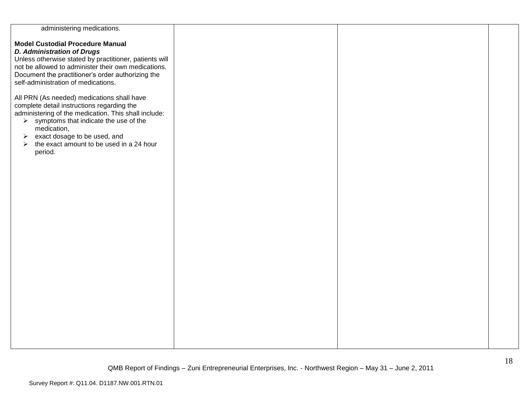| administering medications.                                        |  |  |
|-------------------------------------------------------------------|--|--|
|                                                                   |  |  |
| <b>Model Custodial Procedure Manual</b>                           |  |  |
| <b>D. Administration of Drugs</b>                                 |  |  |
|                                                                   |  |  |
| Unless otherwise stated by practitioner, patients will            |  |  |
| not be allowed to administer their own medications.               |  |  |
| Document the practitioner's order authorizing the                 |  |  |
| self-administration of medications.                               |  |  |
|                                                                   |  |  |
|                                                                   |  |  |
| All PRN (As needed) medications shall have                        |  |  |
| complete detail instructions regarding the                        |  |  |
| administering of the medication. This shall include:              |  |  |
|                                                                   |  |  |
| $\triangleright$ symptoms that indicate the use of the            |  |  |
| medication,                                                       |  |  |
| exact dosage to be used, and<br>➤                                 |  |  |
| the exact amount to be used in a 24 hour<br>$\blacktriangleright$ |  |  |
| period.                                                           |  |  |
|                                                                   |  |  |
|                                                                   |  |  |
|                                                                   |  |  |
|                                                                   |  |  |
|                                                                   |  |  |
|                                                                   |  |  |
|                                                                   |  |  |
|                                                                   |  |  |
|                                                                   |  |  |
|                                                                   |  |  |
|                                                                   |  |  |
|                                                                   |  |  |
|                                                                   |  |  |
|                                                                   |  |  |
|                                                                   |  |  |
|                                                                   |  |  |
|                                                                   |  |  |
|                                                                   |  |  |
|                                                                   |  |  |
|                                                                   |  |  |
|                                                                   |  |  |
|                                                                   |  |  |
|                                                                   |  |  |
|                                                                   |  |  |
|                                                                   |  |  |
|                                                                   |  |  |
|                                                                   |  |  |
|                                                                   |  |  |
|                                                                   |  |  |
|                                                                   |  |  |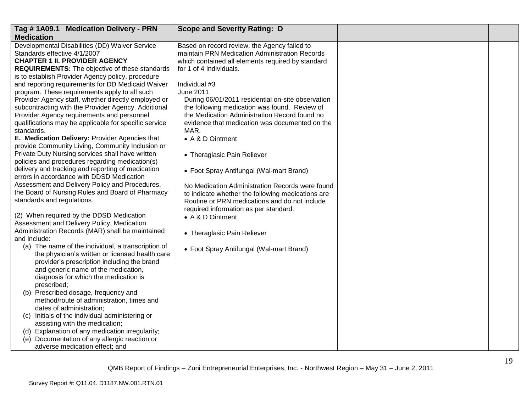| Developmental Disabilities (DD) Waiver Service<br>Based on record review, the Agency failed to<br>Standards effective 4/1/2007<br>maintain PRN Medication Administration Records<br><b>CHAPTER 1 II. PROVIDER AGENCY</b><br>which contained all elements required by standard<br><b>REQUIREMENTS:</b> The objective of these standards<br>for 1 of 4 Individuals.<br>is to establish Provider Agency policy, procedure<br>and reporting requirements for DD Medicaid Waiver<br>Individual #3<br>program. These requirements apply to all such<br>June 2011<br>Provider Agency staff, whether directly employed or<br>During 06/01/2011 residential on-site observation<br>the following medication was found. Review of<br>the Medication Administration Record found no<br>Provider Agency requirements and personnel<br>evidence that medication was documented on the<br>qualifications may be applicable for specific service<br>MAR.<br>standards.<br>E. Medication Delivery: Provider Agencies that<br>• A & D Ointment<br>provide Community Living, Community Inclusion or<br>Private Duty Nursing services shall have written<br>• Theraglasic Pain Reliever<br>• Foot Spray Antifungal (Wal-mart Brand)<br>errors in accordance with DDSD Medication<br>Assessment and Delivery Policy and Procedures,<br>No Medication Administration Records were found<br>the Board of Nursing Rules and Board of Pharmacy<br>to indicate whether the following medications are<br>standards and regulations.<br>Routine or PRN medications and do not include<br>required information as per standard:<br>(2) When required by the DDSD Medication<br>• A & D Ointment<br>• Theraglasic Pain Reliever<br>(a) The name of the individual, a transcription of<br>• Foot Spray Antifungal (Wal-mart Brand)<br>the physician's written or licensed health care<br>provider's prescription including the brand<br>and generic name of the medication,<br>diagnosis for which the medication is<br>prescribed;<br>(b) Prescribed dosage, frequency and<br>method/route of administration, times and<br>dates of administration;<br>(c) Initials of the individual administering or<br>assisting with the medication;<br>(d) Explanation of any medication irregularity;<br>(e) Documentation of any allergic reaction or | Tag #1A09.1 Medication Delivery - PRN               | <b>Scope and Severity Rating: D</b> |  |
|-----------------------------------------------------------------------------------------------------------------------------------------------------------------------------------------------------------------------------------------------------------------------------------------------------------------------------------------------------------------------------------------------------------------------------------------------------------------------------------------------------------------------------------------------------------------------------------------------------------------------------------------------------------------------------------------------------------------------------------------------------------------------------------------------------------------------------------------------------------------------------------------------------------------------------------------------------------------------------------------------------------------------------------------------------------------------------------------------------------------------------------------------------------------------------------------------------------------------------------------------------------------------------------------------------------------------------------------------------------------------------------------------------------------------------------------------------------------------------------------------------------------------------------------------------------------------------------------------------------------------------------------------------------------------------------------------------------------------------------------------------------------------------------------------------------------------------------------------------------------------------------------------------------------------------------------------------------------------------------------------------------------------------------------------------------------------------------------------------------------------------------------------------------------------------------------------------------------------------------------------------------------------------------------------------------------|-----------------------------------------------------|-------------------------------------|--|
|                                                                                                                                                                                                                                                                                                                                                                                                                                                                                                                                                                                                                                                                                                                                                                                                                                                                                                                                                                                                                                                                                                                                                                                                                                                                                                                                                                                                                                                                                                                                                                                                                                                                                                                                                                                                                                                                                                                                                                                                                                                                                                                                                                                                                                                                                                                 | <b>Medication</b>                                   |                                     |  |
|                                                                                                                                                                                                                                                                                                                                                                                                                                                                                                                                                                                                                                                                                                                                                                                                                                                                                                                                                                                                                                                                                                                                                                                                                                                                                                                                                                                                                                                                                                                                                                                                                                                                                                                                                                                                                                                                                                                                                                                                                                                                                                                                                                                                                                                                                                                 |                                                     |                                     |  |
|                                                                                                                                                                                                                                                                                                                                                                                                                                                                                                                                                                                                                                                                                                                                                                                                                                                                                                                                                                                                                                                                                                                                                                                                                                                                                                                                                                                                                                                                                                                                                                                                                                                                                                                                                                                                                                                                                                                                                                                                                                                                                                                                                                                                                                                                                                                 |                                                     |                                     |  |
|                                                                                                                                                                                                                                                                                                                                                                                                                                                                                                                                                                                                                                                                                                                                                                                                                                                                                                                                                                                                                                                                                                                                                                                                                                                                                                                                                                                                                                                                                                                                                                                                                                                                                                                                                                                                                                                                                                                                                                                                                                                                                                                                                                                                                                                                                                                 |                                                     |                                     |  |
|                                                                                                                                                                                                                                                                                                                                                                                                                                                                                                                                                                                                                                                                                                                                                                                                                                                                                                                                                                                                                                                                                                                                                                                                                                                                                                                                                                                                                                                                                                                                                                                                                                                                                                                                                                                                                                                                                                                                                                                                                                                                                                                                                                                                                                                                                                                 |                                                     |                                     |  |
|                                                                                                                                                                                                                                                                                                                                                                                                                                                                                                                                                                                                                                                                                                                                                                                                                                                                                                                                                                                                                                                                                                                                                                                                                                                                                                                                                                                                                                                                                                                                                                                                                                                                                                                                                                                                                                                                                                                                                                                                                                                                                                                                                                                                                                                                                                                 |                                                     |                                     |  |
|                                                                                                                                                                                                                                                                                                                                                                                                                                                                                                                                                                                                                                                                                                                                                                                                                                                                                                                                                                                                                                                                                                                                                                                                                                                                                                                                                                                                                                                                                                                                                                                                                                                                                                                                                                                                                                                                                                                                                                                                                                                                                                                                                                                                                                                                                                                 |                                                     |                                     |  |
|                                                                                                                                                                                                                                                                                                                                                                                                                                                                                                                                                                                                                                                                                                                                                                                                                                                                                                                                                                                                                                                                                                                                                                                                                                                                                                                                                                                                                                                                                                                                                                                                                                                                                                                                                                                                                                                                                                                                                                                                                                                                                                                                                                                                                                                                                                                 |                                                     |                                     |  |
|                                                                                                                                                                                                                                                                                                                                                                                                                                                                                                                                                                                                                                                                                                                                                                                                                                                                                                                                                                                                                                                                                                                                                                                                                                                                                                                                                                                                                                                                                                                                                                                                                                                                                                                                                                                                                                                                                                                                                                                                                                                                                                                                                                                                                                                                                                                 | subcontracting with the Provider Agency. Additional |                                     |  |
|                                                                                                                                                                                                                                                                                                                                                                                                                                                                                                                                                                                                                                                                                                                                                                                                                                                                                                                                                                                                                                                                                                                                                                                                                                                                                                                                                                                                                                                                                                                                                                                                                                                                                                                                                                                                                                                                                                                                                                                                                                                                                                                                                                                                                                                                                                                 |                                                     |                                     |  |
|                                                                                                                                                                                                                                                                                                                                                                                                                                                                                                                                                                                                                                                                                                                                                                                                                                                                                                                                                                                                                                                                                                                                                                                                                                                                                                                                                                                                                                                                                                                                                                                                                                                                                                                                                                                                                                                                                                                                                                                                                                                                                                                                                                                                                                                                                                                 |                                                     |                                     |  |
|                                                                                                                                                                                                                                                                                                                                                                                                                                                                                                                                                                                                                                                                                                                                                                                                                                                                                                                                                                                                                                                                                                                                                                                                                                                                                                                                                                                                                                                                                                                                                                                                                                                                                                                                                                                                                                                                                                                                                                                                                                                                                                                                                                                                                                                                                                                 |                                                     |                                     |  |
|                                                                                                                                                                                                                                                                                                                                                                                                                                                                                                                                                                                                                                                                                                                                                                                                                                                                                                                                                                                                                                                                                                                                                                                                                                                                                                                                                                                                                                                                                                                                                                                                                                                                                                                                                                                                                                                                                                                                                                                                                                                                                                                                                                                                                                                                                                                 |                                                     |                                     |  |
|                                                                                                                                                                                                                                                                                                                                                                                                                                                                                                                                                                                                                                                                                                                                                                                                                                                                                                                                                                                                                                                                                                                                                                                                                                                                                                                                                                                                                                                                                                                                                                                                                                                                                                                                                                                                                                                                                                                                                                                                                                                                                                                                                                                                                                                                                                                 |                                                     |                                     |  |
|                                                                                                                                                                                                                                                                                                                                                                                                                                                                                                                                                                                                                                                                                                                                                                                                                                                                                                                                                                                                                                                                                                                                                                                                                                                                                                                                                                                                                                                                                                                                                                                                                                                                                                                                                                                                                                                                                                                                                                                                                                                                                                                                                                                                                                                                                                                 | policies and procedures regarding medication(s)     |                                     |  |
|                                                                                                                                                                                                                                                                                                                                                                                                                                                                                                                                                                                                                                                                                                                                                                                                                                                                                                                                                                                                                                                                                                                                                                                                                                                                                                                                                                                                                                                                                                                                                                                                                                                                                                                                                                                                                                                                                                                                                                                                                                                                                                                                                                                                                                                                                                                 | delivery and tracking and reporting of medication   |                                     |  |
|                                                                                                                                                                                                                                                                                                                                                                                                                                                                                                                                                                                                                                                                                                                                                                                                                                                                                                                                                                                                                                                                                                                                                                                                                                                                                                                                                                                                                                                                                                                                                                                                                                                                                                                                                                                                                                                                                                                                                                                                                                                                                                                                                                                                                                                                                                                 |                                                     |                                     |  |
|                                                                                                                                                                                                                                                                                                                                                                                                                                                                                                                                                                                                                                                                                                                                                                                                                                                                                                                                                                                                                                                                                                                                                                                                                                                                                                                                                                                                                                                                                                                                                                                                                                                                                                                                                                                                                                                                                                                                                                                                                                                                                                                                                                                                                                                                                                                 |                                                     |                                     |  |
|                                                                                                                                                                                                                                                                                                                                                                                                                                                                                                                                                                                                                                                                                                                                                                                                                                                                                                                                                                                                                                                                                                                                                                                                                                                                                                                                                                                                                                                                                                                                                                                                                                                                                                                                                                                                                                                                                                                                                                                                                                                                                                                                                                                                                                                                                                                 |                                                     |                                     |  |
|                                                                                                                                                                                                                                                                                                                                                                                                                                                                                                                                                                                                                                                                                                                                                                                                                                                                                                                                                                                                                                                                                                                                                                                                                                                                                                                                                                                                                                                                                                                                                                                                                                                                                                                                                                                                                                                                                                                                                                                                                                                                                                                                                                                                                                                                                                                 |                                                     |                                     |  |
|                                                                                                                                                                                                                                                                                                                                                                                                                                                                                                                                                                                                                                                                                                                                                                                                                                                                                                                                                                                                                                                                                                                                                                                                                                                                                                                                                                                                                                                                                                                                                                                                                                                                                                                                                                                                                                                                                                                                                                                                                                                                                                                                                                                                                                                                                                                 |                                                     |                                     |  |
|                                                                                                                                                                                                                                                                                                                                                                                                                                                                                                                                                                                                                                                                                                                                                                                                                                                                                                                                                                                                                                                                                                                                                                                                                                                                                                                                                                                                                                                                                                                                                                                                                                                                                                                                                                                                                                                                                                                                                                                                                                                                                                                                                                                                                                                                                                                 | Assessment and Delivery Policy, Medication          |                                     |  |
|                                                                                                                                                                                                                                                                                                                                                                                                                                                                                                                                                                                                                                                                                                                                                                                                                                                                                                                                                                                                                                                                                                                                                                                                                                                                                                                                                                                                                                                                                                                                                                                                                                                                                                                                                                                                                                                                                                                                                                                                                                                                                                                                                                                                                                                                                                                 | Administration Records (MAR) shall be maintained    |                                     |  |
|                                                                                                                                                                                                                                                                                                                                                                                                                                                                                                                                                                                                                                                                                                                                                                                                                                                                                                                                                                                                                                                                                                                                                                                                                                                                                                                                                                                                                                                                                                                                                                                                                                                                                                                                                                                                                                                                                                                                                                                                                                                                                                                                                                                                                                                                                                                 | and include:                                        |                                     |  |
|                                                                                                                                                                                                                                                                                                                                                                                                                                                                                                                                                                                                                                                                                                                                                                                                                                                                                                                                                                                                                                                                                                                                                                                                                                                                                                                                                                                                                                                                                                                                                                                                                                                                                                                                                                                                                                                                                                                                                                                                                                                                                                                                                                                                                                                                                                                 |                                                     |                                     |  |
|                                                                                                                                                                                                                                                                                                                                                                                                                                                                                                                                                                                                                                                                                                                                                                                                                                                                                                                                                                                                                                                                                                                                                                                                                                                                                                                                                                                                                                                                                                                                                                                                                                                                                                                                                                                                                                                                                                                                                                                                                                                                                                                                                                                                                                                                                                                 |                                                     |                                     |  |
|                                                                                                                                                                                                                                                                                                                                                                                                                                                                                                                                                                                                                                                                                                                                                                                                                                                                                                                                                                                                                                                                                                                                                                                                                                                                                                                                                                                                                                                                                                                                                                                                                                                                                                                                                                                                                                                                                                                                                                                                                                                                                                                                                                                                                                                                                                                 |                                                     |                                     |  |
|                                                                                                                                                                                                                                                                                                                                                                                                                                                                                                                                                                                                                                                                                                                                                                                                                                                                                                                                                                                                                                                                                                                                                                                                                                                                                                                                                                                                                                                                                                                                                                                                                                                                                                                                                                                                                                                                                                                                                                                                                                                                                                                                                                                                                                                                                                                 |                                                     |                                     |  |
|                                                                                                                                                                                                                                                                                                                                                                                                                                                                                                                                                                                                                                                                                                                                                                                                                                                                                                                                                                                                                                                                                                                                                                                                                                                                                                                                                                                                                                                                                                                                                                                                                                                                                                                                                                                                                                                                                                                                                                                                                                                                                                                                                                                                                                                                                                                 |                                                     |                                     |  |
|                                                                                                                                                                                                                                                                                                                                                                                                                                                                                                                                                                                                                                                                                                                                                                                                                                                                                                                                                                                                                                                                                                                                                                                                                                                                                                                                                                                                                                                                                                                                                                                                                                                                                                                                                                                                                                                                                                                                                                                                                                                                                                                                                                                                                                                                                                                 |                                                     |                                     |  |
|                                                                                                                                                                                                                                                                                                                                                                                                                                                                                                                                                                                                                                                                                                                                                                                                                                                                                                                                                                                                                                                                                                                                                                                                                                                                                                                                                                                                                                                                                                                                                                                                                                                                                                                                                                                                                                                                                                                                                                                                                                                                                                                                                                                                                                                                                                                 |                                                     |                                     |  |
|                                                                                                                                                                                                                                                                                                                                                                                                                                                                                                                                                                                                                                                                                                                                                                                                                                                                                                                                                                                                                                                                                                                                                                                                                                                                                                                                                                                                                                                                                                                                                                                                                                                                                                                                                                                                                                                                                                                                                                                                                                                                                                                                                                                                                                                                                                                 |                                                     |                                     |  |
|                                                                                                                                                                                                                                                                                                                                                                                                                                                                                                                                                                                                                                                                                                                                                                                                                                                                                                                                                                                                                                                                                                                                                                                                                                                                                                                                                                                                                                                                                                                                                                                                                                                                                                                                                                                                                                                                                                                                                                                                                                                                                                                                                                                                                                                                                                                 |                                                     |                                     |  |
|                                                                                                                                                                                                                                                                                                                                                                                                                                                                                                                                                                                                                                                                                                                                                                                                                                                                                                                                                                                                                                                                                                                                                                                                                                                                                                                                                                                                                                                                                                                                                                                                                                                                                                                                                                                                                                                                                                                                                                                                                                                                                                                                                                                                                                                                                                                 |                                                     |                                     |  |
|                                                                                                                                                                                                                                                                                                                                                                                                                                                                                                                                                                                                                                                                                                                                                                                                                                                                                                                                                                                                                                                                                                                                                                                                                                                                                                                                                                                                                                                                                                                                                                                                                                                                                                                                                                                                                                                                                                                                                                                                                                                                                                                                                                                                                                                                                                                 |                                                     |                                     |  |
|                                                                                                                                                                                                                                                                                                                                                                                                                                                                                                                                                                                                                                                                                                                                                                                                                                                                                                                                                                                                                                                                                                                                                                                                                                                                                                                                                                                                                                                                                                                                                                                                                                                                                                                                                                                                                                                                                                                                                                                                                                                                                                                                                                                                                                                                                                                 | adverse medication effect; and                      |                                     |  |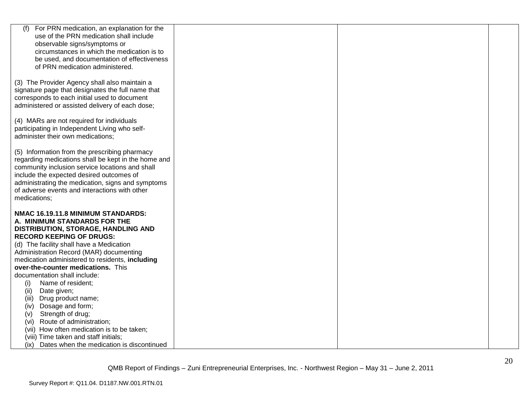| For PRN medication, an explanation for the<br>(f)   |  |  |
|-----------------------------------------------------|--|--|
| use of the PRN medication shall include             |  |  |
| observable signs/symptoms or                        |  |  |
| circumstances in which the medication is to         |  |  |
| be used, and documentation of effectiveness         |  |  |
| of PRN medication administered.                     |  |  |
|                                                     |  |  |
| (3) The Provider Agency shall also maintain a       |  |  |
| signature page that designates the full name that   |  |  |
| corresponds to each initial used to document        |  |  |
| administered or assisted delivery of each dose;     |  |  |
|                                                     |  |  |
| (4) MARs are not required for individuals           |  |  |
| participating in Independent Living who self-       |  |  |
| administer their own medications;                   |  |  |
|                                                     |  |  |
| (5) Information from the prescribing pharmacy       |  |  |
| regarding medications shall be kept in the home and |  |  |
| community inclusion service locations and shall     |  |  |
| include the expected desired outcomes of            |  |  |
| administrating the medication, signs and symptoms   |  |  |
| of adverse events and interactions with other       |  |  |
| medications;                                        |  |  |
| NMAC 16.19.11.8 MINIMUM STANDARDS:                  |  |  |
| A. MINIMUM STANDARDS FOR THE                        |  |  |
| DISTRIBUTION, STORAGE, HANDLING AND                 |  |  |
| <b>RECORD KEEPING OF DRUGS:</b>                     |  |  |
| (d) The facility shall have a Medication            |  |  |
| Administration Record (MAR) documenting             |  |  |
| medication administered to residents, including     |  |  |
| over-the-counter medications. This                  |  |  |
| documentation shall include:                        |  |  |
| Name of resident;<br>(i)                            |  |  |
| Date given;<br>(ii)                                 |  |  |
| (iii)<br>Drug product name;                         |  |  |
| Dosage and form;<br>(iv)                            |  |  |
| Strength of drug;<br>(v)                            |  |  |
| Route of administration;<br>(vi)                    |  |  |
| (vii) How often medication is to be taken;          |  |  |
| (viii) Time taken and staff initials;               |  |  |
| (ix) Dates when the medication is discontinued      |  |  |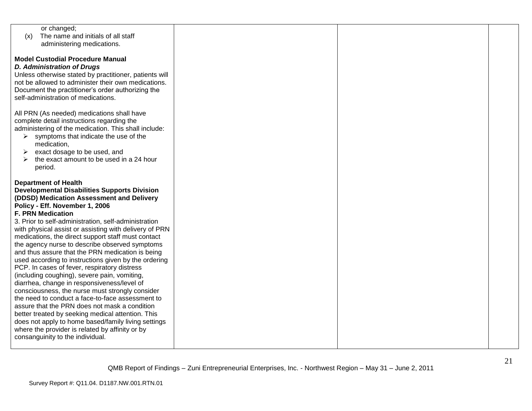| or changed;                                            |  |  |
|--------------------------------------------------------|--|--|
| The name and initials of all staff<br>(x)              |  |  |
| administering medications.                             |  |  |
|                                                        |  |  |
| <b>Model Custodial Procedure Manual</b>                |  |  |
| <b>D. Administration of Drugs</b>                      |  |  |
|                                                        |  |  |
| Unless otherwise stated by practitioner, patients will |  |  |
| not be allowed to administer their own medications.    |  |  |
| Document the practitioner's order authorizing the      |  |  |
| self-administration of medications.                    |  |  |
|                                                        |  |  |
| All PRN (As needed) medications shall have             |  |  |
| complete detail instructions regarding the             |  |  |
|                                                        |  |  |
| administering of the medication. This shall include:   |  |  |
| symptoms that indicate the use of the<br>➤             |  |  |
| medication,                                            |  |  |
| exact dosage to be used, and<br>➤                      |  |  |
| the exact amount to be used in a 24 hour               |  |  |
| period.                                                |  |  |
|                                                        |  |  |
| <b>Department of Health</b>                            |  |  |
|                                                        |  |  |
| <b>Developmental Disabilities Supports Division</b>    |  |  |
| (DDSD) Medication Assessment and Delivery              |  |  |
| Policy - Eff. November 1, 2006                         |  |  |
| <b>F. PRN Medication</b>                               |  |  |
| 3. Prior to self-administration, self-administration   |  |  |
| with physical assist or assisting with delivery of PRN |  |  |
| medications, the direct support staff must contact     |  |  |
| the agency nurse to describe observed symptoms         |  |  |
|                                                        |  |  |
| and thus assure that the PRN medication is being       |  |  |
| used according to instructions given by the ordering   |  |  |
| PCP. In cases of fever, respiratory distress           |  |  |
| (including coughing), severe pain, vomiting,           |  |  |
| diarrhea, change in responsiveness/level of            |  |  |
| consciousness, the nurse must strongly consider        |  |  |
| the need to conduct a face-to-face assessment to       |  |  |
| assure that the PRN does not mask a condition          |  |  |
|                                                        |  |  |
| better treated by seeking medical attention. This      |  |  |
| does not apply to home based/family living settings    |  |  |
| where the provider is related by affinity or by        |  |  |
| consanguinity to the individual.                       |  |  |
|                                                        |  |  |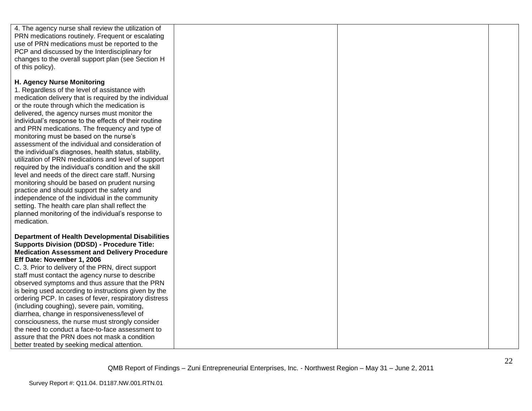| 4. The agency nurse shall review the utilization of                                                   |  |  |
|-------------------------------------------------------------------------------------------------------|--|--|
| PRN medications routinely. Frequent or escalating                                                     |  |  |
| use of PRN medications must be reported to the                                                        |  |  |
| PCP and discussed by the Interdisciplinary for                                                        |  |  |
| changes to the overall support plan (see Section H                                                    |  |  |
| of this policy).                                                                                      |  |  |
|                                                                                                       |  |  |
| H. Agency Nurse Monitoring                                                                            |  |  |
| 1. Regardless of the level of assistance with                                                         |  |  |
| medication delivery that is required by the individual                                                |  |  |
| or the route through which the medication is                                                          |  |  |
| delivered, the agency nurses must monitor the                                                         |  |  |
|                                                                                                       |  |  |
| individual's response to the effects of their routine                                                 |  |  |
| and PRN medications. The frequency and type of                                                        |  |  |
| monitoring must be based on the nurse's                                                               |  |  |
| assessment of the individual and consideration of                                                     |  |  |
| the individual's diagnoses, health status, stability,                                                 |  |  |
| utilization of PRN medications and level of support                                                   |  |  |
| required by the individual's condition and the skill                                                  |  |  |
| level and needs of the direct care staff. Nursing                                                     |  |  |
| monitoring should be based on prudent nursing                                                         |  |  |
| practice and should support the safety and                                                            |  |  |
| independence of the individual in the community                                                       |  |  |
| setting. The health care plan shall reflect the                                                       |  |  |
| planned monitoring of the individual's response to                                                    |  |  |
| medication.                                                                                           |  |  |
|                                                                                                       |  |  |
| <b>Department of Health Developmental Disabilities</b>                                                |  |  |
| <b>Supports Division (DDSD) - Procedure Title:</b>                                                    |  |  |
| <b>Medication Assessment and Delivery Procedure</b>                                                   |  |  |
| Eff Date: November 1, 2006                                                                            |  |  |
| C. 3. Prior to delivery of the PRN, direct support                                                    |  |  |
| staff must contact the agency nurse to describe                                                       |  |  |
| observed symptoms and thus assure that the PRN                                                        |  |  |
| is being used according to instructions given by the                                                  |  |  |
|                                                                                                       |  |  |
| ordering PCP. In cases of fever, respiratory distress<br>(including coughing), severe pain, vomiting, |  |  |
|                                                                                                       |  |  |
| diarrhea, change in responsiveness/level of                                                           |  |  |
| consciousness, the nurse must strongly consider                                                       |  |  |
| the need to conduct a face-to-face assessment to                                                      |  |  |
| assure that the PRN does not mask a condition                                                         |  |  |
| better treated by seeking medical attention.                                                          |  |  |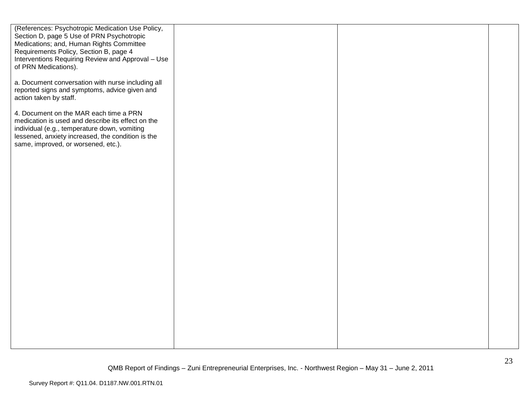| (References: Psychotropic Medication Use Policy,<br>Section D, page 5 Use of PRN Psychotropic<br>Medications; and, Human Rights Committee<br>Requirements Policy, Section B, page 4<br>Interventions Requiring Review and Approval - Use |  |  |
|------------------------------------------------------------------------------------------------------------------------------------------------------------------------------------------------------------------------------------------|--|--|
| of PRN Medications).                                                                                                                                                                                                                     |  |  |
| a. Document conversation with nurse including all<br>reported signs and symptoms, advice given and<br>action taken by staff.                                                                                                             |  |  |
| 4. Document on the MAR each time a PRN<br>medication is used and describe its effect on the<br>individual (e.g., temperature down, vomiting<br>lessened, anxiety increased, the condition is the<br>same, improved, or worsened, etc.).  |  |  |
|                                                                                                                                                                                                                                          |  |  |
|                                                                                                                                                                                                                                          |  |  |
|                                                                                                                                                                                                                                          |  |  |
|                                                                                                                                                                                                                                          |  |  |
|                                                                                                                                                                                                                                          |  |  |
|                                                                                                                                                                                                                                          |  |  |
|                                                                                                                                                                                                                                          |  |  |
|                                                                                                                                                                                                                                          |  |  |
|                                                                                                                                                                                                                                          |  |  |
|                                                                                                                                                                                                                                          |  |  |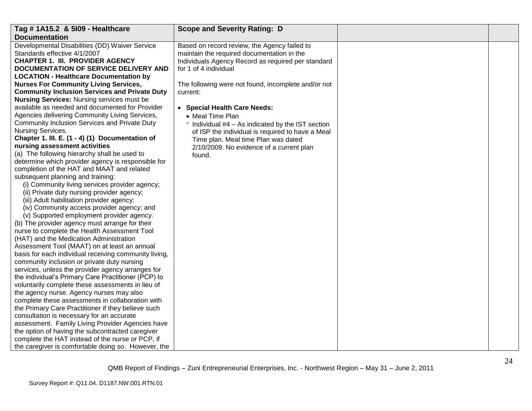| Tag # 1A15.2 & 5109 - Healthcare                      | <b>Scope and Severity Rating: D</b>                       |  |
|-------------------------------------------------------|-----------------------------------------------------------|--|
| <b>Documentation</b>                                  |                                                           |  |
| Developmental Disabilities (DD) Waiver Service        | Based on record review, the Agency failed to              |  |
| Standards effective 4/1/2007                          | maintain the required documentation in the                |  |
| <b>CHAPTER 1. III. PROVIDER AGENCY</b>                | Individuals Agency Record as required per standard        |  |
| DOCUMENTATION OF SERVICE DELIVERY AND                 | for 1 of 4 individual                                     |  |
| <b>LOCATION - Healthcare Documentation by</b>         |                                                           |  |
| <b>Nurses For Community Living Services,</b>          | The following were not found, incomplete and/or not       |  |
| <b>Community Inclusion Services and Private Duty</b>  | current:                                                  |  |
| <b>Nursing Services: Nursing services must be</b>     |                                                           |  |
| available as needed and documented for Provider       | • Special Health Care Needs:                              |  |
| Agencies delivering Community Living Services,        | • Meal Time Plan                                          |  |
| Community Inclusion Services and Private Duty         | $\degree$ Individual #4 – As indicated by the IST section |  |
| Nursing Services.                                     | of ISP the individual is required to have a Meal          |  |
| Chapter 1. III. E. (1 - 4) (1) Documentation of       | Time plan. Meal time Plan was dated                       |  |
| nursing assessment activities                         | 2/10/2009. No evidence of a current plan                  |  |
| (a) The following hierarchy shall be used to          | found.                                                    |  |
| determine which provider agency is responsible for    |                                                           |  |
| completion of the HAT and MAAT and related            |                                                           |  |
| subsequent planning and training:                     |                                                           |  |
| (i) Community living services provider agency;        |                                                           |  |
| (ii) Private duty nursing provider agency;            |                                                           |  |
| (iii) Adult habilitation provider agency;             |                                                           |  |
| (iv) Community access provider agency; and            |                                                           |  |
| (v) Supported employment provider agency.             |                                                           |  |
| (b) The provider agency must arrange for their        |                                                           |  |
| nurse to complete the Health Assessment Tool          |                                                           |  |
| (HAT) and the Medication Administration               |                                                           |  |
| Assessment Tool (MAAT) on at least an annual          |                                                           |  |
| basis for each individual receiving community living, |                                                           |  |
| community inclusion or private duty nursing           |                                                           |  |
| services, unless the provider agency arranges for     |                                                           |  |
| the individual's Primary Care Practitioner (PCP) to   |                                                           |  |
| voluntarily complete these assessments in lieu of     |                                                           |  |
| the agency nurse. Agency nurses may also              |                                                           |  |
| complete these assessments in collaboration with      |                                                           |  |
| the Primary Care Practitioner if they believe such    |                                                           |  |
| consultation is necessary for an accurate             |                                                           |  |
| assessment. Family Living Provider Agencies have      |                                                           |  |
| the option of having the subcontracted caregiver      |                                                           |  |
| complete the HAT instead of the nurse or PCP, if      |                                                           |  |
| the caregiver is comfortable doing so. However, the   |                                                           |  |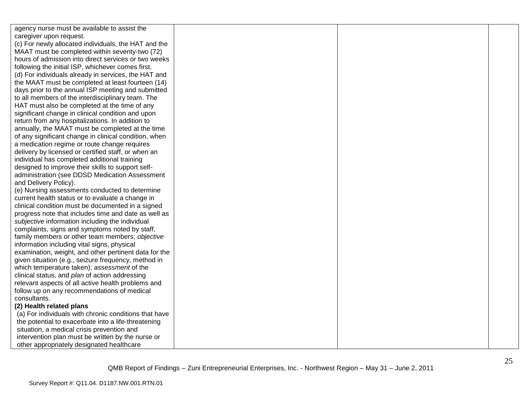| agency nurse must be available to assist the          |  |  |
|-------------------------------------------------------|--|--|
| caregiver upon request.                               |  |  |
| (c) For newly allocated individuals, the HAT and the  |  |  |
| MAAT must be completed within seventy-two (72)        |  |  |
| hours of admission into direct services or two weeks  |  |  |
| following the initial ISP, whichever comes first.     |  |  |
| (d) For individuals already in services, the HAT and  |  |  |
| the MAAT must be completed at least fourteen (14)     |  |  |
| days prior to the annual ISP meeting and submitted    |  |  |
| to all members of the interdisciplinary team. The     |  |  |
| HAT must also be completed at the time of any         |  |  |
| significant change in clinical condition and upon     |  |  |
| return from any hospitalizations. In addition to      |  |  |
| annually, the MAAT must be completed at the time      |  |  |
| of any significant change in clinical condition, when |  |  |
| a medication regime or route change requires          |  |  |
| delivery by licensed or certified staff, or when an   |  |  |
| individual has completed additional training          |  |  |
| designed to improve their skills to support self-     |  |  |
| administration (see DDSD Medication Assessment        |  |  |
| and Delivery Policy).                                 |  |  |
| (e) Nursing assessments conducted to determine        |  |  |
| current health status or to evaluate a change in      |  |  |
| clinical condition must be documented in a signed     |  |  |
| progress note that includes time and date as well as  |  |  |
| subjective information including the individual       |  |  |
| complaints, signs and symptoms noted by staff,        |  |  |
| family members or other team members; objective       |  |  |
| information including vital signs, physical           |  |  |
| examination, weight, and other pertinent data for the |  |  |
| given situation (e.g., seizure frequency, method in   |  |  |
| which temperature taken); assessment of the           |  |  |
| clinical status, and plan of action addressing        |  |  |
| relevant aspects of all active health problems and    |  |  |
| follow up on any recommendations of medical           |  |  |
| consultants.                                          |  |  |
| (2) Health related plans                              |  |  |
| (a) For individuals with chronic conditions that have |  |  |
| the potential to exacerbate into a life-threatening   |  |  |
| situation, a medical crisis prevention and            |  |  |
| intervention plan must be written by the nurse or     |  |  |
| other appropriately designated healthcare             |  |  |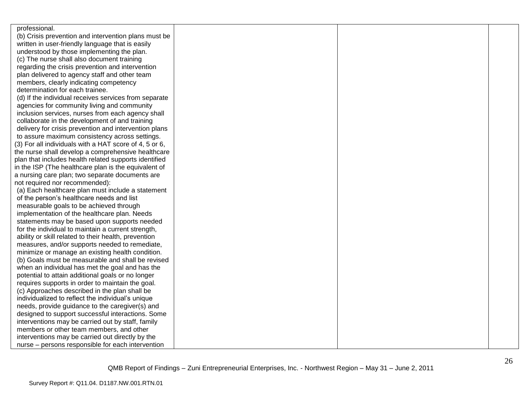| professional.                                          |  |  |
|--------------------------------------------------------|--|--|
| (b) Crisis prevention and intervention plans must be   |  |  |
| written in user-friendly language that is easily       |  |  |
| understood by those implementing the plan.             |  |  |
| (c) The nurse shall also document training             |  |  |
| regarding the crisis prevention and intervention       |  |  |
| plan delivered to agency staff and other team          |  |  |
| members, clearly indicating competency                 |  |  |
| determination for each trainee.                        |  |  |
| (d) If the individual receives services from separate  |  |  |
| agencies for community living and community            |  |  |
| inclusion services, nurses from each agency shall      |  |  |
| collaborate in the development of and training         |  |  |
| delivery for crisis prevention and intervention plans  |  |  |
| to assure maximum consistency across settings.         |  |  |
| (3) For all individuals with a HAT score of 4, 5 or 6, |  |  |
| the nurse shall develop a comprehensive healthcare     |  |  |
| plan that includes health related supports identified  |  |  |
| in the ISP (The healthcare plan is the equivalent of   |  |  |
| a nursing care plan; two separate documents are        |  |  |
| not required nor recommended):                         |  |  |
| (a) Each healthcare plan must include a statement      |  |  |
| of the person's healthcare needs and list              |  |  |
| measurable goals to be achieved through                |  |  |
| implementation of the healthcare plan. Needs           |  |  |
| statements may be based upon supports needed           |  |  |
| for the individual to maintain a current strength,     |  |  |
| ability or skill related to their health, prevention   |  |  |
| measures, and/or supports needed to remediate,         |  |  |
| minimize or manage an existing health condition.       |  |  |
| (b) Goals must be measurable and shall be revised      |  |  |
| when an individual has met the goal and has the        |  |  |
| potential to attain additional goals or no longer      |  |  |
| requires supports in order to maintain the goal.       |  |  |
| (c) Approaches described in the plan shall be          |  |  |
| individualized to reflect the individual's unique      |  |  |
| needs, provide guidance to the caregiver(s) and        |  |  |
| designed to support successful interactions. Some      |  |  |
| interventions may be carried out by staff, family      |  |  |
| members or other team members, and other               |  |  |
| interventions may be carried out directly by the       |  |  |
| nurse - persons responsible for each intervention      |  |  |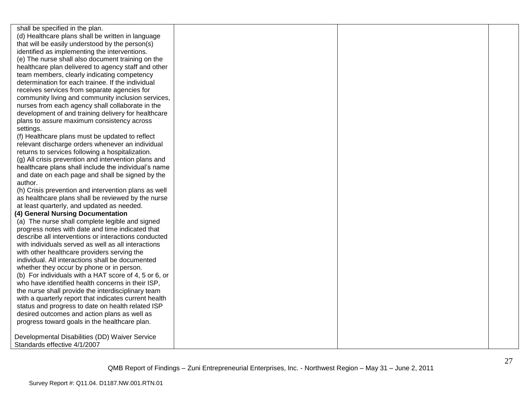shall be specified in the plan. (d) Healthcare plans shall be written in language that will be easily understood by the person(s) identified as implementing the interventions. (e) The nurse shall also document training on the healthcare plan delivered to agency staff and other team members, clearly indicating competency determination for each trainee. If the individual receives services from separate agencies for community living and community inclusion services, nurses from each agency shall collaborate in the development of and training delivery for healthcare plans to assure maximum consistency across settings.

(f) Healthcare plans must be updated to reflect relevant discharge orders whenever an individual returns to services following a hospitalization.

(g) All crisis prevention and intervention plans and healthcare plans shall include the individual's name and date on each page and shall be signed by the author.

(h) Crisis prevention and intervention plans as well as healthcare plans shall be reviewed by the nurse at least quarterly, and updated as needed.

### **(4) General Nursing Documentation**

(a) The nurse shall complete legible and signed progress notes with date and time indicated that describe all interventions or interactions conducted with individuals served as well as all interactions with other healthcare providers serving the individual. All interactions shall be documented whether they occur by phone or in person. (b) For individuals with a HAT score of 4, 5 or 6, or who have identified health concerns in their ISP, the nurse shall provide the interdisciplinary team with a quarterly report that indicates current health status and progress to date on health related ISP desired outcomes and action plans as well as progress toward goals in the healthcare plan.

Developmental Disabilities (DD) Waiver Service Standards effective 4/1/2007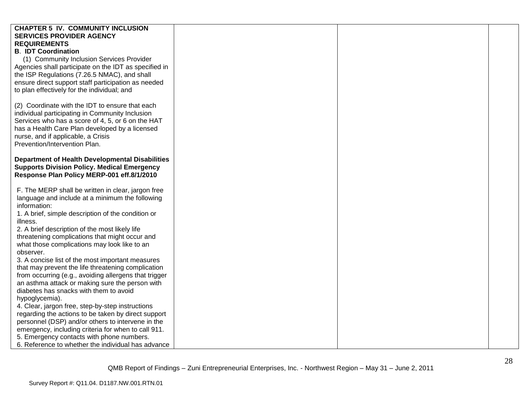| <b>CHAPTER 5 IV. COMMUNITY INCLUSION</b>               |  |
|--------------------------------------------------------|--|
|                                                        |  |
| <b>SERVICES PROVIDER AGENCY</b>                        |  |
| <b>REQUIREMENTS</b>                                    |  |
| <b>B. IDT Coordination</b>                             |  |
| (1) Community Inclusion Services Provider              |  |
| Agencies shall participate on the IDT as specified in  |  |
| the ISP Regulations (7.26.5 NMAC), and shall           |  |
| ensure direct support staff participation as needed    |  |
| to plan effectively for the individual; and            |  |
|                                                        |  |
| (2) Coordinate with the IDT to ensure that each        |  |
| individual participating in Community Inclusion        |  |
| Services who has a score of 4, 5, or 6 on the HAT      |  |
| has a Health Care Plan developed by a licensed         |  |
| nurse, and if applicable, a Crisis                     |  |
| Prevention/Intervention Plan.                          |  |
|                                                        |  |
|                                                        |  |
| <b>Department of Health Developmental Disabilities</b> |  |
| <b>Supports Division Policy. Medical Emergency</b>     |  |
| Response Plan Policy MERP-001 eff.8/1/2010             |  |
|                                                        |  |
| F. The MERP shall be written in clear, jargon free     |  |
| language and include at a minimum the following        |  |
| information:                                           |  |
| 1. A brief, simple description of the condition or     |  |
| illness.                                               |  |
| 2. A brief description of the most likely life         |  |
| threatening complications that might occur and         |  |
| what those complications may look like to an           |  |
| observer.                                              |  |
| 3. A concise list of the most important measures       |  |
| that may prevent the life threatening complication     |  |
| from occurring (e.g., avoiding allergens that trigger  |  |
| an asthma attack or making sure the person with        |  |
| diabetes has snacks with them to avoid                 |  |
| hypoglycemia).                                         |  |
| 4. Clear, jargon free, step-by-step instructions       |  |
| regarding the actions to be taken by direct support    |  |
| personnel (DSP) and/or others to intervene in the      |  |
| emergency, including criteria for when to call 911.    |  |
| 5. Emergency contacts with phone numbers.              |  |
| 6. Reference to whether the individual has advance     |  |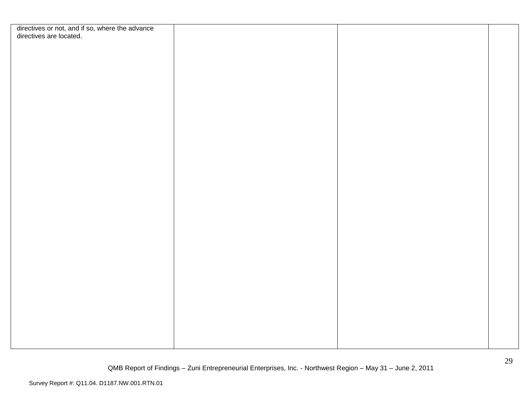| directives or not, and if so, where the advance<br>directives are located. |  |  |
|----------------------------------------------------------------------------|--|--|
|                                                                            |  |  |
|                                                                            |  |  |
|                                                                            |  |  |
|                                                                            |  |  |
|                                                                            |  |  |
|                                                                            |  |  |
|                                                                            |  |  |
|                                                                            |  |  |
|                                                                            |  |  |
|                                                                            |  |  |
|                                                                            |  |  |
|                                                                            |  |  |
|                                                                            |  |  |
|                                                                            |  |  |
|                                                                            |  |  |
|                                                                            |  |  |
|                                                                            |  |  |
|                                                                            |  |  |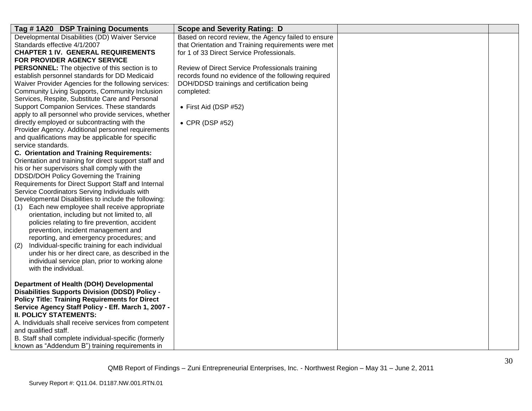| Tag #1A20 DSP Training Documents                                                                             | <b>Scope and Severity Rating: D</b>                 |  |
|--------------------------------------------------------------------------------------------------------------|-----------------------------------------------------|--|
| Developmental Disabilities (DD) Waiver Service                                                               | Based on record review, the Agency failed to ensure |  |
| Standards effective 4/1/2007                                                                                 | that Orientation and Training requirements were met |  |
| <b>CHAPTER 1 IV. GENERAL REQUIREMENTS</b>                                                                    | for 1 of 33 Direct Service Professionals.           |  |
| FOR PROVIDER AGENCY SERVICE                                                                                  |                                                     |  |
| PERSONNEL: The objective of this section is to                                                               | Review of Direct Service Professionals training     |  |
| establish personnel standards for DD Medicaid                                                                | records found no evidence of the following required |  |
| Waiver Provider Agencies for the following services:                                                         | DOH/DDSD trainings and certification being          |  |
| Community Living Supports, Community Inclusion                                                               | completed:                                          |  |
| Services, Respite, Substitute Care and Personal                                                              |                                                     |  |
| Support Companion Services. These standards                                                                  | • First Aid (DSP $#52$ )                            |  |
| apply to all personnel who provide services, whether                                                         |                                                     |  |
| directly employed or subcontracting with the                                                                 | • CPR (DSP #52)                                     |  |
| Provider Agency. Additional personnel requirements                                                           |                                                     |  |
| and qualifications may be applicable for specific                                                            |                                                     |  |
| service standards.                                                                                           |                                                     |  |
| C. Orientation and Training Requirements:                                                                    |                                                     |  |
| Orientation and training for direct support staff and                                                        |                                                     |  |
| his or her supervisors shall comply with the                                                                 |                                                     |  |
| DDSD/DOH Policy Governing the Training                                                                       |                                                     |  |
| Requirements for Direct Support Staff and Internal                                                           |                                                     |  |
| Service Coordinators Serving Individuals with                                                                |                                                     |  |
| Developmental Disabilities to include the following:                                                         |                                                     |  |
| Each new employee shall receive appropriate<br>(1)                                                           |                                                     |  |
| orientation, including but not limited to, all                                                               |                                                     |  |
| policies relating to fire prevention, accident                                                               |                                                     |  |
| prevention, incident management and<br>reporting, and emergency procedures; and                              |                                                     |  |
|                                                                                                              |                                                     |  |
| Individual-specific training for each individual<br>(2)<br>under his or her direct care, as described in the |                                                     |  |
| individual service plan, prior to working alone                                                              |                                                     |  |
| with the individual.                                                                                         |                                                     |  |
|                                                                                                              |                                                     |  |
| Department of Health (DOH) Developmental                                                                     |                                                     |  |
| <b>Disabilities Supports Division (DDSD) Policy -</b>                                                        |                                                     |  |
| <b>Policy Title: Training Requirements for Direct</b>                                                        |                                                     |  |
| Service Agency Staff Policy - Eff. March 1, 2007 -                                                           |                                                     |  |
| <b>II. POLICY STATEMENTS:</b>                                                                                |                                                     |  |
| A. Individuals shall receive services from competent                                                         |                                                     |  |
| and qualified staff.                                                                                         |                                                     |  |
| B. Staff shall complete individual-specific (formerly                                                        |                                                     |  |
| known as "Addendum B") training requirements in                                                              |                                                     |  |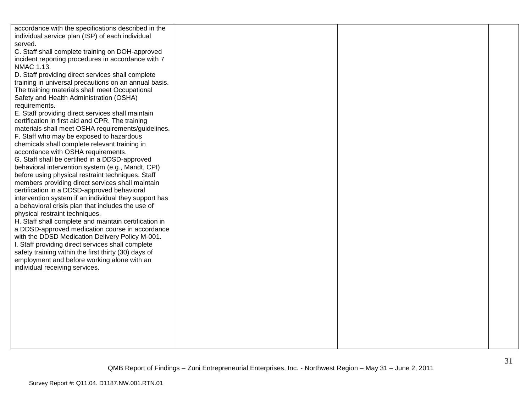| accordance with the specifications described in the   |  |  |
|-------------------------------------------------------|--|--|
| individual service plan (ISP) of each individual      |  |  |
| served.                                               |  |  |
| C. Staff shall complete training on DOH-approved      |  |  |
| incident reporting procedures in accordance with 7    |  |  |
| NMAC 1.13.                                            |  |  |
| D. Staff providing direct services shall complete     |  |  |
| training in universal precautions on an annual basis. |  |  |
| The training materials shall meet Occupational        |  |  |
| Safety and Health Administration (OSHA)               |  |  |
| requirements.                                         |  |  |
| E. Staff providing direct services shall maintain     |  |  |
| certification in first aid and CPR. The training      |  |  |
| materials shall meet OSHA requirements/guidelines.    |  |  |
| F. Staff who may be exposed to hazardous              |  |  |
| chemicals shall complete relevant training in         |  |  |
| accordance with OSHA requirements.                    |  |  |
| G. Staff shall be certified in a DDSD-approved        |  |  |
| behavioral intervention system (e.g., Mandt, CPI)     |  |  |
| before using physical restraint techniques. Staff     |  |  |
| members providing direct services shall maintain      |  |  |
| certification in a DDSD-approved behavioral           |  |  |
| intervention system if an individual they support has |  |  |
| a behavioral crisis plan that includes the use of     |  |  |
| physical restraint techniques.                        |  |  |
| H. Staff shall complete and maintain certification in |  |  |
| a DDSD-approved medication course in accordance       |  |  |
| with the DDSD Medication Delivery Policy M-001.       |  |  |
| I. Staff providing direct services shall complete     |  |  |
| safety training within the first thirty (30) days of  |  |  |
| employment and before working alone with an           |  |  |
| individual receiving services.                        |  |  |
|                                                       |  |  |
|                                                       |  |  |
|                                                       |  |  |
|                                                       |  |  |
|                                                       |  |  |
|                                                       |  |  |
|                                                       |  |  |
|                                                       |  |  |
|                                                       |  |  |
|                                                       |  |  |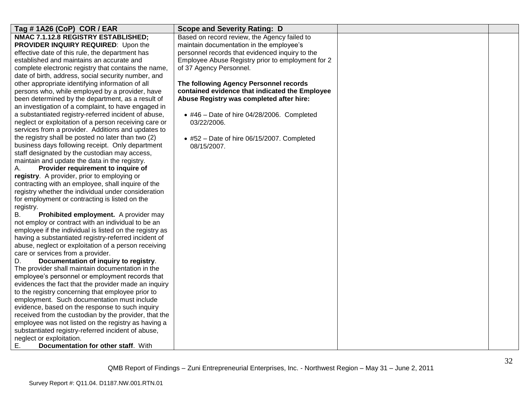| Tag #1A26 (CoP) COR / EAR                               | <b>Scope and Severity Rating: D</b>                |  |
|---------------------------------------------------------|----------------------------------------------------|--|
| NMAC 7.1.12.8 REGISTRY ESTABLISHED;                     | Based on record review, the Agency failed to       |  |
| <b>PROVIDER INQUIRY REQUIRED:</b> Upon the              | maintain documentation in the employee's           |  |
| effective date of this rule, the department has         | personnel records that evidenced inquiry to the    |  |
| established and maintains an accurate and               | Employee Abuse Registry prior to employment for 2  |  |
| complete electronic registry that contains the name.    | of 37 Agency Personnel.                            |  |
| date of birth, address, social security number, and     |                                                    |  |
| other appropriate identifying information of all        | The following Agency Personnel records             |  |
| persons who, while employed by a provider, have         | contained evidence that indicated the Employee     |  |
| been determined by the department, as a result of       | Abuse Registry was completed after hire:           |  |
| an investigation of a complaint, to have engaged in     |                                                    |  |
| a substantiated registry-referred incident of abuse,    | $\bullet$ #46 - Date of hire 04/28/2006. Completed |  |
| neglect or exploitation of a person receiving care or   | 03/22/2006.                                        |  |
| services from a provider. Additions and updates to      |                                                    |  |
| the registry shall be posted no later than two (2)      | $*$ #52 - Date of hire 06/15/2007. Completed       |  |
| business days following receipt. Only department        | 08/15/2007.                                        |  |
| staff designated by the custodian may access,           |                                                    |  |
| maintain and update the data in the registry.           |                                                    |  |
| Provider requirement to inquire of<br>А.                |                                                    |  |
| registry. A provider, prior to employing or             |                                                    |  |
| contracting with an employee, shall inquire of the      |                                                    |  |
| registry whether the individual under consideration     |                                                    |  |
| for employment or contracting is listed on the          |                                                    |  |
| registry.                                               |                                                    |  |
| Prohibited employment. A provider may<br>В.             |                                                    |  |
| not employ or contract with an individual to be an      |                                                    |  |
| employee if the individual is listed on the registry as |                                                    |  |
| having a substantiated registry-referred incident of    |                                                    |  |
| abuse, neglect or exploitation of a person receiving    |                                                    |  |
| care or services from a provider.                       |                                                    |  |
| Documentation of inquiry to registry.<br>D.             |                                                    |  |
| The provider shall maintain documentation in the        |                                                    |  |
| employee's personnel or employment records that         |                                                    |  |
| evidences the fact that the provider made an inquiry    |                                                    |  |
| to the registry concerning that employee prior to       |                                                    |  |
| employment. Such documentation must include             |                                                    |  |
| evidence, based on the response to such inquiry         |                                                    |  |
| received from the custodian by the provider, that the   |                                                    |  |
| employee was not listed on the registry as having a     |                                                    |  |
| substantiated registry-referred incident of abuse,      |                                                    |  |
| neglect or exploitation.                                |                                                    |  |
| Ε.<br>Documentation for other staff. With               |                                                    |  |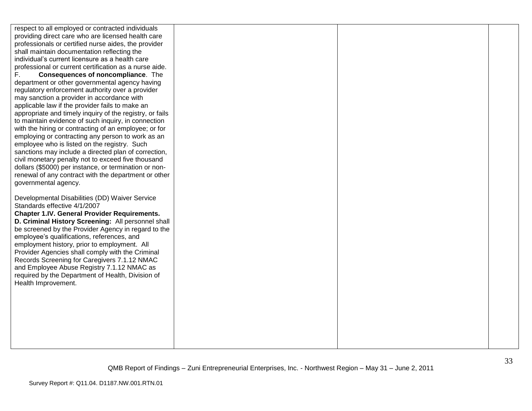respect to all employed or contracted individuals providing direct care who are licensed health care professionals or certified nurse aides, the provider shall maintain documentation reflecting the individual"s current licensure as a health care professional or current certification as a nurse aide. F. **Consequences of noncompliance**. The department or other governmental agency having regulatory enforcement authority over a provider may sanction a provider in accordance with applicable law if the provider fails to make an appropriate and timely inquiry of the registry, or fails to maintain evidence of such inquiry, in connection with the hiring or contracting of an employee; or for employing or contracting any person to work as an employee who is listed on the registry. Such sanctions may include a directed plan of correction, civil monetary penalty not to exceed five thousand dollars (\$5000) per instance, or termination or nonrenewal of any contract with the department or other governmental agency. Developmental Disabilities (DD) Waiver Service Standards effective 4/1/2007 **Chapter 1.IV. General Provider Requirements. D. Criminal History Screening:** All personnel shall be screened by the Provider Agency in regard to the employee"s qualifications, references, and employment history, prior to employment. All Provider Agencies shall comply with the Criminal Records Screening for Caregivers 7.1.12 NMAC and Employee Abuse Registry 7.1.12 NMAC as required by the Department of Health, Division of Health Improvement.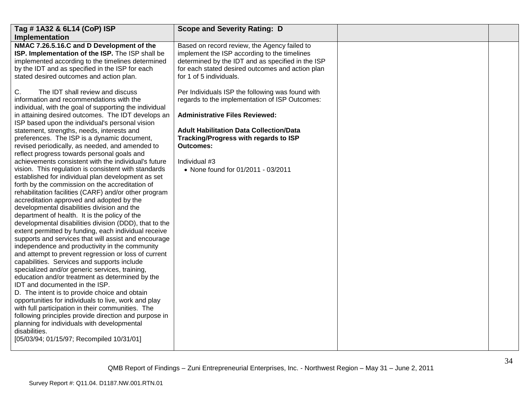| Tag #1A32 & 6L14 (CoP) ISP<br>Implementation                                                                                                                                                                                                                                                                                                               | <b>Scope and Severity Rating: D</b>                                                                                                                                                                                              |  |
|------------------------------------------------------------------------------------------------------------------------------------------------------------------------------------------------------------------------------------------------------------------------------------------------------------------------------------------------------------|----------------------------------------------------------------------------------------------------------------------------------------------------------------------------------------------------------------------------------|--|
| NMAC 7.26.5.16.C and D Development of the<br>ISP. Implementation of the ISP. The ISP shall be<br>implemented according to the timelines determined<br>by the IDT and as specified in the ISP for each<br>stated desired outcomes and action plan.                                                                                                          | Based on record review, the Agency failed to<br>implement the ISP according to the timelines<br>determined by the IDT and as specified in the ISP<br>for each stated desired outcomes and action plan<br>for 1 of 5 individuals. |  |
| C.<br>The IDT shall review and discuss<br>information and recommendations with the<br>individual, with the goal of supporting the individual<br>in attaining desired outcomes. The IDT develops an<br>ISP based upon the individual's personal vision                                                                                                      | Per Individuals ISP the following was found with<br>regards to the implementation of ISP Outcomes:<br><b>Administrative Files Reviewed:</b>                                                                                      |  |
| statement, strengths, needs, interests and<br>preferences. The ISP is a dynamic document,<br>revised periodically, as needed, and amended to<br>reflect progress towards personal goals and<br>achievements consistent with the individual's future                                                                                                        | <b>Adult Habilitation Data Collection/Data</b><br>Tracking/Progress with regards to ISP<br><b>Outcomes:</b><br>Individual #3                                                                                                     |  |
| vision. This regulation is consistent with standards<br>established for individual plan development as set<br>forth by the commission on the accreditation of<br>rehabilitation facilities (CARF) and/or other program                                                                                                                                     | • None found for 01/2011 - 03/2011                                                                                                                                                                                               |  |
| accreditation approved and adopted by the<br>developmental disabilities division and the<br>department of health. It is the policy of the<br>developmental disabilities division (DDD), that to the<br>extent permitted by funding, each individual receive                                                                                                |                                                                                                                                                                                                                                  |  |
| supports and services that will assist and encourage<br>independence and productivity in the community<br>and attempt to prevent regression or loss of current<br>capabilities. Services and supports include                                                                                                                                              |                                                                                                                                                                                                                                  |  |
| specialized and/or generic services, training,<br>education and/or treatment as determined by the<br>IDT and documented in the ISP.<br>D. The intent is to provide choice and obtain<br>opportunities for individuals to live, work and play<br>with full participation in their communities. The<br>following principles provide direction and purpose in |                                                                                                                                                                                                                                  |  |
| planning for individuals with developmental<br>disabilities.<br>[05/03/94; 01/15/97; Recompiled 10/31/01]                                                                                                                                                                                                                                                  |                                                                                                                                                                                                                                  |  |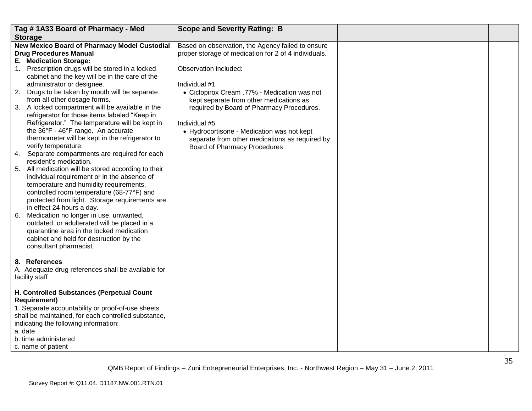|    | Tag #1A33 Board of Pharmacy - Med                                                   | <b>Scope and Severity Rating: B</b>                  |  |
|----|-------------------------------------------------------------------------------------|------------------------------------------------------|--|
|    | <b>Storage</b>                                                                      |                                                      |  |
|    | New Mexico Board of Pharmacy Model Custodial                                        | Based on observation, the Agency failed to ensure    |  |
|    | <b>Drug Procedures Manual</b>                                                       | proper storage of medication for 2 of 4 individuals. |  |
|    | E. Medication Storage:                                                              |                                                      |  |
|    | 1. Prescription drugs will be stored in a locked                                    | Observation included:                                |  |
|    | cabinet and the key will be in the care of the                                      |                                                      |  |
|    | administrator or designee.                                                          | Individual #1                                        |  |
|    | 2. Drugs to be taken by mouth will be separate                                      | • Ciclopirox Cream .77% - Medication was not         |  |
|    | from all other dosage forms.                                                        | kept separate from other medications as              |  |
|    | 3. A locked compartment will be available in the                                    | required by Board of Pharmacy Procedures.            |  |
|    | refrigerator for those items labeled "Keep in                                       |                                                      |  |
|    | Refrigerator." The temperature will be kept in                                      | Individual #5                                        |  |
|    | the 36°F - 46°F range. An accurate                                                  | • Hydrocortisone - Medication was not kept           |  |
|    | thermometer will be kept in the refrigerator to                                     | separate from other medications as required by       |  |
|    | verify temperature.                                                                 | <b>Board of Pharmacy Procedures</b>                  |  |
|    | 4. Separate compartments are required for each                                      |                                                      |  |
|    | resident's medication.                                                              |                                                      |  |
|    | 5. All medication will be stored according to their                                 |                                                      |  |
|    | individual requirement or in the absence of                                         |                                                      |  |
|    | temperature and humidity requirements,<br>controlled room temperature (68-77°F) and |                                                      |  |
|    | protected from light. Storage requirements are                                      |                                                      |  |
|    | in effect 24 hours a day.                                                           |                                                      |  |
| 6. | Medication no longer in use, unwanted,                                              |                                                      |  |
|    | outdated, or adulterated will be placed in a                                        |                                                      |  |
|    | quarantine area in the locked medication                                            |                                                      |  |
|    | cabinet and held for destruction by the                                             |                                                      |  |
|    | consultant pharmacist.                                                              |                                                      |  |
|    |                                                                                     |                                                      |  |
|    | 8. References                                                                       |                                                      |  |
|    | A. Adequate drug references shall be available for                                  |                                                      |  |
|    | facility staff                                                                      |                                                      |  |
|    |                                                                                     |                                                      |  |
|    | H. Controlled Substances (Perpetual Count                                           |                                                      |  |
|    | <b>Requirement)</b>                                                                 |                                                      |  |
|    | 1. Separate accountability or proof-of-use sheets                                   |                                                      |  |
|    | shall be maintained, for each controlled substance,                                 |                                                      |  |
|    | indicating the following information:                                               |                                                      |  |
|    | a. date                                                                             |                                                      |  |
|    | b. time administered                                                                |                                                      |  |
|    | c. name of patient                                                                  |                                                      |  |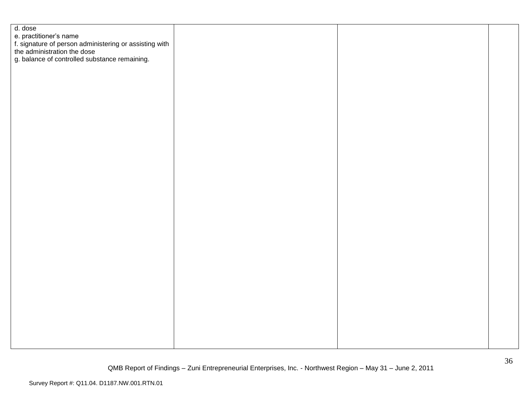| d. dose                                                                               |  |  |
|---------------------------------------------------------------------------------------|--|--|
| e. practitioner's name                                                                |  |  |
|                                                                                       |  |  |
| f. signature of person administering or assisting with<br>the administration the dose |  |  |
| g. balance of controlled substance remaining.                                         |  |  |
|                                                                                       |  |  |
|                                                                                       |  |  |
|                                                                                       |  |  |
|                                                                                       |  |  |
|                                                                                       |  |  |
|                                                                                       |  |  |
|                                                                                       |  |  |
|                                                                                       |  |  |
|                                                                                       |  |  |
|                                                                                       |  |  |
|                                                                                       |  |  |
|                                                                                       |  |  |
|                                                                                       |  |  |
|                                                                                       |  |  |
|                                                                                       |  |  |
|                                                                                       |  |  |
|                                                                                       |  |  |
|                                                                                       |  |  |
|                                                                                       |  |  |
|                                                                                       |  |  |
|                                                                                       |  |  |
|                                                                                       |  |  |
|                                                                                       |  |  |
|                                                                                       |  |  |
|                                                                                       |  |  |
|                                                                                       |  |  |
|                                                                                       |  |  |
|                                                                                       |  |  |
|                                                                                       |  |  |
|                                                                                       |  |  |
|                                                                                       |  |  |
|                                                                                       |  |  |
|                                                                                       |  |  |
|                                                                                       |  |  |
|                                                                                       |  |  |
|                                                                                       |  |  |
|                                                                                       |  |  |
|                                                                                       |  |  |
|                                                                                       |  |  |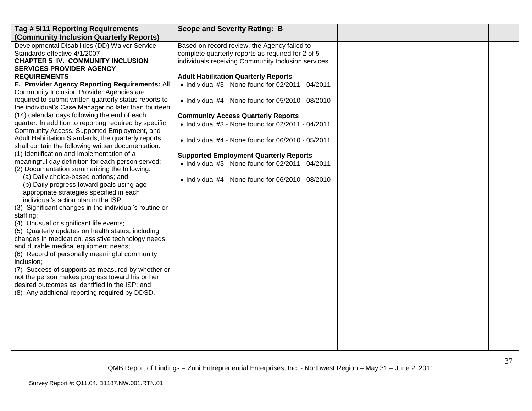| Tag # 5111 Reporting Requirements                                                 | <b>Scope and Severity Rating: B</b>                        |  |
|-----------------------------------------------------------------------------------|------------------------------------------------------------|--|
| (Community Inclusion Quarterly Reports)                                           |                                                            |  |
| Developmental Disabilities (DD) Waiver Service                                    | Based on record review, the Agency failed to               |  |
| Standards effective 4/1/2007                                                      | complete quarterly reports as required for 2 of 5          |  |
| <b>CHAPTER 5 IV. COMMUNITY INCLUSION</b>                                          | individuals receiving Community Inclusion services.        |  |
| <b>SERVICES PROVIDER AGENCY</b>                                                   |                                                            |  |
| <b>REQUIREMENTS</b>                                                               | <b>Adult Habilitation Quarterly Reports</b>                |  |
| E. Provider Agency Reporting Requirements: All                                    | $\bullet$ Individual #3 - None found for 02/2011 - 04/2011 |  |
| Community Inclusion Provider Agencies are                                         |                                                            |  |
| required to submit written quarterly status reports to                            | $\bullet$ Individual #4 - None found for 05/2010 - 08/2010 |  |
| the individual's Case Manager no later than fourteen                              |                                                            |  |
| (14) calendar days following the end of each                                      | <b>Community Access Quarterly Reports</b>                  |  |
| quarter. In addition to reporting required by specific                            | • Individual #3 - None found for 02/2011 - 04/2011         |  |
| Community Access, Supported Employment, and                                       |                                                            |  |
| Adult Habilitation Standards, the quarterly reports                               | $\bullet$ Individual #4 - None found for 06/2010 - 05/2011 |  |
| shall contain the following written documentation:                                |                                                            |  |
| (1) Identification and implementation of a                                        | <b>Supported Employment Quarterly Reports</b>              |  |
| meaningful day definition for each person served;                                 | $\bullet$ Individual #3 - None found for 02/2011 - 04/2011 |  |
| (2) Documentation summarizing the following:                                      |                                                            |  |
| (a) Daily choice-based options; and<br>(b) Daily progress toward goals using age- | $\bullet$ Individual #4 - None found for 06/2010 - 08/2010 |  |
| appropriate strategies specified in each                                          |                                                            |  |
| individual's action plan in the ISP.                                              |                                                            |  |
| (3) Significant changes in the individual's routine or                            |                                                            |  |
| staffing;                                                                         |                                                            |  |
| (4) Unusual or significant life events;                                           |                                                            |  |
| (5) Quarterly updates on health status, including                                 |                                                            |  |
| changes in medication, assistive technology needs                                 |                                                            |  |
| and durable medical equipment needs;                                              |                                                            |  |
| (6) Record of personally meaningful community                                     |                                                            |  |
| inclusion;                                                                        |                                                            |  |
| (7) Success of supports as measured by whether or                                 |                                                            |  |
| not the person makes progress toward his or her                                   |                                                            |  |
| desired outcomes as identified in the ISP; and                                    |                                                            |  |
| (8) Any additional reporting required by DDSD.                                    |                                                            |  |
|                                                                                   |                                                            |  |
|                                                                                   |                                                            |  |
|                                                                                   |                                                            |  |
|                                                                                   |                                                            |  |
|                                                                                   |                                                            |  |
|                                                                                   |                                                            |  |
|                                                                                   |                                                            |  |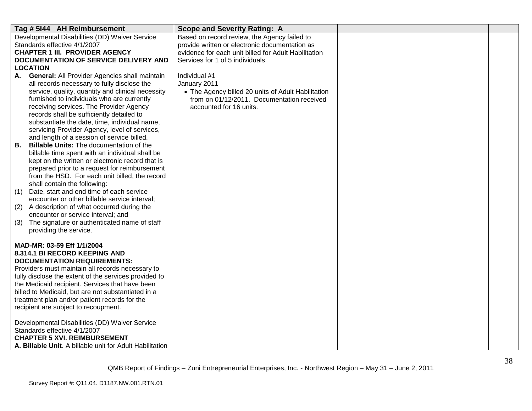| Tag # 5144 AH Reimbursement                                              | <b>Scope and Severity Rating: A</b>                  |  |
|--------------------------------------------------------------------------|------------------------------------------------------|--|
| Developmental Disabilities (DD) Waiver Service                           | Based on record review, the Agency failed to         |  |
| Standards effective 4/1/2007                                             | provide written or electronic documentation as       |  |
| <b>CHAPTER 1 III. PROVIDER AGENCY</b>                                    | evidence for each unit billed for Adult Habilitation |  |
| DOCUMENTATION OF SERVICE DELIVERY AND                                    | Services for 1 of 5 individuals.                     |  |
| <b>LOCATION</b>                                                          |                                                      |  |
| <b>General: All Provider Agencies shall maintain</b><br>А.               | Individual #1                                        |  |
| all records necessary to fully disclose the                              | January 2011                                         |  |
| service, quality, quantity and clinical necessity                        | • The Agency billed 20 units of Adult Habilitation   |  |
| furnished to individuals who are currently                               | from on 01/12/2011. Documentation received           |  |
| receiving services. The Provider Agency                                  | accounted for 16 units.                              |  |
| records shall be sufficiently detailed to                                |                                                      |  |
| substantiate the date, time, individual name,                            |                                                      |  |
| servicing Provider Agency, level of services,                            |                                                      |  |
| and length of a session of service billed.                               |                                                      |  |
| <b>Billable Units: The documentation of the</b><br>В.                    |                                                      |  |
| billable time spent with an individual shall be                          |                                                      |  |
| kept on the written or electronic record that is                         |                                                      |  |
| prepared prior to a request for reimbursement                            |                                                      |  |
| from the HSD. For each unit billed, the record                           |                                                      |  |
| shall contain the following:<br>Date, start and end time of each service |                                                      |  |
| (1)<br>encounter or other billable service interval;                     |                                                      |  |
| A description of what occurred during the<br>(2)                         |                                                      |  |
| encounter or service interval; and                                       |                                                      |  |
| The signature or authenticated name of staff<br>(3)                      |                                                      |  |
| providing the service.                                                   |                                                      |  |
|                                                                          |                                                      |  |
| MAD-MR: 03-59 Eff 1/1/2004                                               |                                                      |  |
| 8.314.1 BI RECORD KEEPING AND                                            |                                                      |  |
| <b>DOCUMENTATION REQUIREMENTS:</b>                                       |                                                      |  |
| Providers must maintain all records necessary to                         |                                                      |  |
| fully disclose the extent of the services provided to                    |                                                      |  |
| the Medicaid recipient. Services that have been                          |                                                      |  |
| billed to Medicaid, but are not substantiated in a                       |                                                      |  |
| treatment plan and/or patient records for the                            |                                                      |  |
| recipient are subject to recoupment.                                     |                                                      |  |
|                                                                          |                                                      |  |
| Developmental Disabilities (DD) Waiver Service                           |                                                      |  |
| Standards effective 4/1/2007                                             |                                                      |  |
| <b>CHAPTER 5 XVI. REIMBURSEMENT</b>                                      |                                                      |  |
| A. Billable Unit. A billable unit for Adult Habilitation                 |                                                      |  |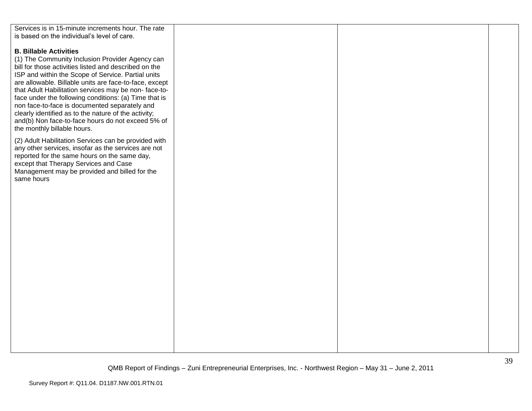| Services is in 15-minute increments hour. The rate     |  |  |
|--------------------------------------------------------|--|--|
| is based on the individual's level of care.            |  |  |
|                                                        |  |  |
|                                                        |  |  |
| <b>B. Billable Activities</b>                          |  |  |
| (1) The Community Inclusion Provider Agency can        |  |  |
| bill for those activities listed and described on the  |  |  |
| ISP and within the Scope of Service. Partial units     |  |  |
| are allowable. Billable units are face-to-face, except |  |  |
|                                                        |  |  |
| that Adult Habilitation services may be non-face-to-   |  |  |
| face under the following conditions: (a) Time that is  |  |  |
| non face-to-face is documented separately and          |  |  |
| clearly identified as to the nature of the activity;   |  |  |
| and(b) Non face-to-face hours do not exceed 5% of      |  |  |
| the monthly billable hours.                            |  |  |
|                                                        |  |  |
| (2) Adult Habilitation Services can be provided with   |  |  |
| any other services, insofar as the services are not    |  |  |
| reported for the same hours on the same day,           |  |  |
| except that Therapy Services and Case                  |  |  |
|                                                        |  |  |
| Management may be provided and billed for the          |  |  |
| same hours                                             |  |  |
|                                                        |  |  |
|                                                        |  |  |
|                                                        |  |  |
|                                                        |  |  |
|                                                        |  |  |
|                                                        |  |  |
|                                                        |  |  |
|                                                        |  |  |
|                                                        |  |  |
|                                                        |  |  |
|                                                        |  |  |
|                                                        |  |  |
|                                                        |  |  |
|                                                        |  |  |
|                                                        |  |  |
|                                                        |  |  |
|                                                        |  |  |
|                                                        |  |  |
|                                                        |  |  |
|                                                        |  |  |
|                                                        |  |  |
|                                                        |  |  |
|                                                        |  |  |
|                                                        |  |  |
|                                                        |  |  |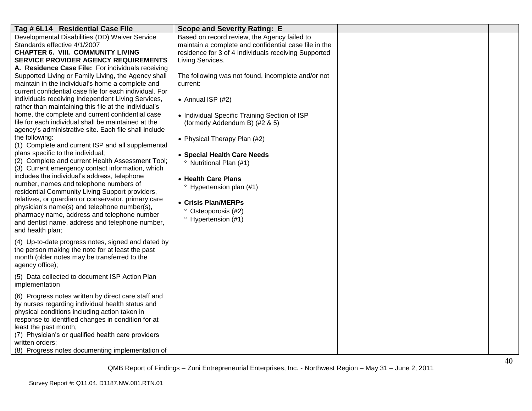| Tag # 6L14 Residential Case File                                                                                                                                                                                                                                                                                                                                                                                                                                                                                                                                                                                                                                                                                                                                                                                                                                                                                                                                                                                                                                                                                                                                                                                                                                               | <b>Scope and Severity Rating: E</b>                                                                                                                                                                                                                                                                                                                                                                                                                                                                                                                                                                           |  |
|--------------------------------------------------------------------------------------------------------------------------------------------------------------------------------------------------------------------------------------------------------------------------------------------------------------------------------------------------------------------------------------------------------------------------------------------------------------------------------------------------------------------------------------------------------------------------------------------------------------------------------------------------------------------------------------------------------------------------------------------------------------------------------------------------------------------------------------------------------------------------------------------------------------------------------------------------------------------------------------------------------------------------------------------------------------------------------------------------------------------------------------------------------------------------------------------------------------------------------------------------------------------------------|---------------------------------------------------------------------------------------------------------------------------------------------------------------------------------------------------------------------------------------------------------------------------------------------------------------------------------------------------------------------------------------------------------------------------------------------------------------------------------------------------------------------------------------------------------------------------------------------------------------|--|
| Developmental Disabilities (DD) Waiver Service<br>Standards effective 4/1/2007<br><b>CHAPTER 6. VIII. COMMUNITY LIVING</b><br>SERVICE PROVIDER AGENCY REQUIREMENTS<br>A. Residence Case File: For individuals receiving<br>Supported Living or Family Living, the Agency shall<br>maintain in the individual's home a complete and<br>current confidential case file for each individual. For<br>individuals receiving Independent Living Services,<br>rather than maintaining this file at the individual's<br>home, the complete and current confidential case<br>file for each individual shall be maintained at the<br>agency's administrative site. Each file shall include<br>the following:<br>(1) Complete and current ISP and all supplemental<br>plans specific to the individual;<br>(2) Complete and current Health Assessment Tool;<br>(3) Current emergency contact information, which<br>includes the individual's address, telephone<br>number, names and telephone numbers of<br>residential Community Living Support providers,<br>relatives, or guardian or conservator, primary care<br>physician's name(s) and telephone number(s),<br>pharmacy name, address and telephone number<br>and dentist name, address and telephone number,<br>and health plan; | Based on record review, the Agency failed to<br>maintain a complete and confidential case file in the<br>residence for 3 of 4 Individuals receiving Supported<br>Living Services.<br>The following was not found, incomplete and/or not<br>current:<br>• Annual ISP $(#2)$<br>• Individual Specific Training Section of ISP<br>(formerly Addendum B) (#2 & 5)<br>• Physical Therapy Plan (#2)<br>• Special Health Care Needs<br><sup>o</sup> Nutritional Plan (#1)<br>• Health Care Plans<br>$\degree$ Hypertension plan (#1)<br>• Crisis Plan/MERPs<br>° Osteoporosis (#2)<br><sup>o</sup> Hypertension (#1) |  |
| (4) Up-to-date progress notes, signed and dated by<br>the person making the note for at least the past<br>month (older notes may be transferred to the<br>agency office);                                                                                                                                                                                                                                                                                                                                                                                                                                                                                                                                                                                                                                                                                                                                                                                                                                                                                                                                                                                                                                                                                                      |                                                                                                                                                                                                                                                                                                                                                                                                                                                                                                                                                                                                               |  |
| (5) Data collected to document ISP Action Plan<br>implementation                                                                                                                                                                                                                                                                                                                                                                                                                                                                                                                                                                                                                                                                                                                                                                                                                                                                                                                                                                                                                                                                                                                                                                                                               |                                                                                                                                                                                                                                                                                                                                                                                                                                                                                                                                                                                                               |  |
| (6) Progress notes written by direct care staff and<br>by nurses regarding individual health status and<br>physical conditions including action taken in<br>response to identified changes in condition for at<br>least the past month;<br>(7) Physician's or qualified health care providers<br>written orders;<br>(8) Progress notes documenting implementation of                                                                                                                                                                                                                                                                                                                                                                                                                                                                                                                                                                                                                                                                                                                                                                                                                                                                                                           |                                                                                                                                                                                                                                                                                                                                                                                                                                                                                                                                                                                                               |  |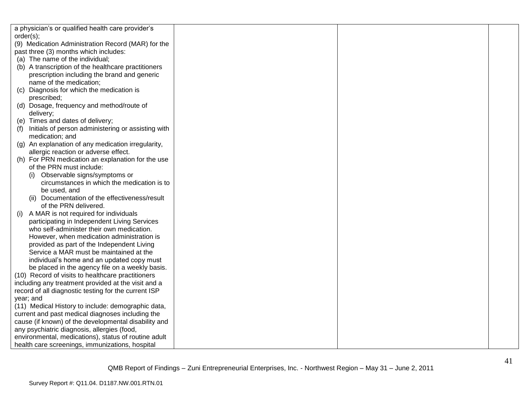| a physician's or qualified health care provider's    |  |  |
|------------------------------------------------------|--|--|
| order(s);                                            |  |  |
| (9) Medication Administration Record (MAR) for the   |  |  |
| past three (3) months which includes:                |  |  |
| (a) The name of the individual;                      |  |  |
| (b) A transcription of the healthcare practitioners  |  |  |
| prescription including the brand and generic         |  |  |
| name of the medication;                              |  |  |
| Diagnosis for which the medication is<br>(C)         |  |  |
| prescribed;                                          |  |  |
| (d) Dosage, frequency and method/route of            |  |  |
| delivery;                                            |  |  |
| (e) Times and dates of delivery;                     |  |  |
| Initials of person administering or assisting with   |  |  |
| medication; and                                      |  |  |
| (g) An explanation of any medication irregularity,   |  |  |
| allergic reaction or adverse effect.                 |  |  |
| (h) For PRN medication an explanation for the use    |  |  |
| of the PRN must include:                             |  |  |
| Observable signs/symptoms or                         |  |  |
| circumstances in which the medication is to          |  |  |
| be used, and                                         |  |  |
| (ii) Documentation of the effectiveness/result       |  |  |
| of the PRN delivered.                                |  |  |
| A MAR is not required for individuals<br>(i)         |  |  |
| participating in Independent Living Services         |  |  |
| who self-administer their own medication.            |  |  |
| However, when medication administration is           |  |  |
| provided as part of the Independent Living           |  |  |
| Service a MAR must be maintained at the              |  |  |
| individual's home and an updated copy must           |  |  |
| be placed in the agency file on a weekly basis.      |  |  |
| (10) Record of visits to healthcare practitioners    |  |  |
| including any treatment provided at the visit and a  |  |  |
| record of all diagnostic testing for the current ISP |  |  |
| year; and                                            |  |  |
| (11) Medical History to include: demographic data,   |  |  |
| current and past medical diagnoses including the     |  |  |
| cause (if known) of the developmental disability and |  |  |
| any psychiatric diagnosis, allergies (food,          |  |  |
| environmental, medications), status of routine adult |  |  |
| health care screenings, immunizations, hospital      |  |  |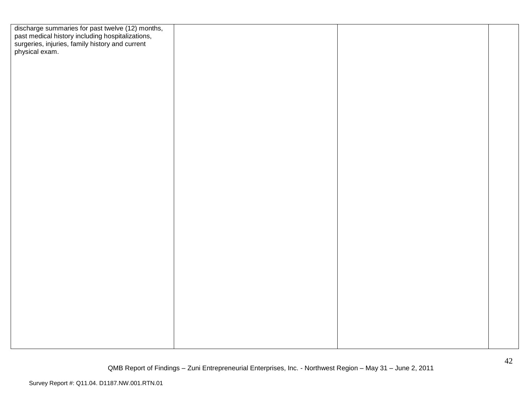| discharge summaries for past twelve (12) months,<br>past medical history including hospitalizations,<br>surgeries, injuries, family history and current<br>physical exam. |  |  |
|---------------------------------------------------------------------------------------------------------------------------------------------------------------------------|--|--|
|                                                                                                                                                                           |  |  |
|                                                                                                                                                                           |  |  |
|                                                                                                                                                                           |  |  |
|                                                                                                                                                                           |  |  |
|                                                                                                                                                                           |  |  |
|                                                                                                                                                                           |  |  |
|                                                                                                                                                                           |  |  |
|                                                                                                                                                                           |  |  |
|                                                                                                                                                                           |  |  |
|                                                                                                                                                                           |  |  |
|                                                                                                                                                                           |  |  |
|                                                                                                                                                                           |  |  |
|                                                                                                                                                                           |  |  |
|                                                                                                                                                                           |  |  |
|                                                                                                                                                                           |  |  |
|                                                                                                                                                                           |  |  |
|                                                                                                                                                                           |  |  |
|                                                                                                                                                                           |  |  |
|                                                                                                                                                                           |  |  |
|                                                                                                                                                                           |  |  |
|                                                                                                                                                                           |  |  |
|                                                                                                                                                                           |  |  |
|                                                                                                                                                                           |  |  |
|                                                                                                                                                                           |  |  |
|                                                                                                                                                                           |  |  |
|                                                                                                                                                                           |  |  |
|                                                                                                                                                                           |  |  |
|                                                                                                                                                                           |  |  |
|                                                                                                                                                                           |  |  |
|                                                                                                                                                                           |  |  |
|                                                                                                                                                                           |  |  |
|                                                                                                                                                                           |  |  |
|                                                                                                                                                                           |  |  |
|                                                                                                                                                                           |  |  |
|                                                                                                                                                                           |  |  |
|                                                                                                                                                                           |  |  |
|                                                                                                                                                                           |  |  |
|                                                                                                                                                                           |  |  |
|                                                                                                                                                                           |  |  |
|                                                                                                                                                                           |  |  |
|                                                                                                                                                                           |  |  |
|                                                                                                                                                                           |  |  |
|                                                                                                                                                                           |  |  |
|                                                                                                                                                                           |  |  |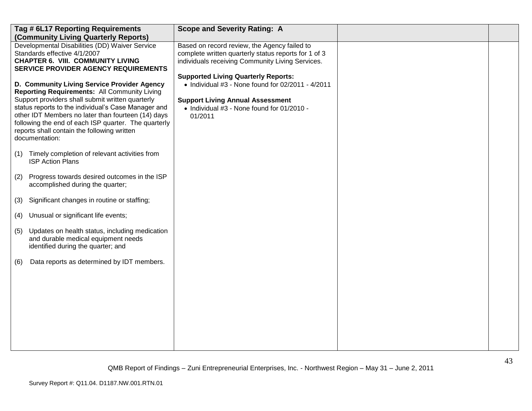|     | Tag # 6L17 Reporting Requirements<br>(Community Living Quarterly Reports)                                                                                                                                                                                                                                                                                                                    | <b>Scope and Severity Rating: A</b>                                                                                                                                                                   |  |
|-----|----------------------------------------------------------------------------------------------------------------------------------------------------------------------------------------------------------------------------------------------------------------------------------------------------------------------------------------------------------------------------------------------|-------------------------------------------------------------------------------------------------------------------------------------------------------------------------------------------------------|--|
|     | Developmental Disabilities (DD) Waiver Service<br>Standards effective 4/1/2007<br><b>CHAPTER 6. VIII. COMMUNITY LIVING</b><br><b>SERVICE PROVIDER AGENCY REQUIREMENTS</b>                                                                                                                                                                                                                    | Based on record review, the Agency failed to<br>complete written quarterly status reports for 1 of 3<br>individuals receiving Community Living Services.                                              |  |
|     | D. Community Living Service Provider Agency<br><b>Reporting Requirements: All Community Living</b><br>Support providers shall submit written quarterly<br>status reports to the individual's Case Manager and<br>other IDT Members no later than fourteen (14) days<br>following the end of each ISP quarter. The quarterly<br>reports shall contain the following written<br>documentation: | <b>Supported Living Quarterly Reports:</b><br>• Individual $#3$ - None found for 02/2011 - 4/2011<br><b>Support Living Annual Assessment</b><br>• Individual #3 - None found for 01/2010 -<br>01/2011 |  |
| (1) | Timely completion of relevant activities from<br><b>ISP Action Plans</b>                                                                                                                                                                                                                                                                                                                     |                                                                                                                                                                                                       |  |
| (2) | Progress towards desired outcomes in the ISP<br>accomplished during the quarter;                                                                                                                                                                                                                                                                                                             |                                                                                                                                                                                                       |  |
| (3) | Significant changes in routine or staffing;                                                                                                                                                                                                                                                                                                                                                  |                                                                                                                                                                                                       |  |
| (4) | Unusual or significant life events;                                                                                                                                                                                                                                                                                                                                                          |                                                                                                                                                                                                       |  |
| (5) | Updates on health status, including medication<br>and durable medical equipment needs<br>identified during the quarter; and                                                                                                                                                                                                                                                                  |                                                                                                                                                                                                       |  |
| (6) | Data reports as determined by IDT members.                                                                                                                                                                                                                                                                                                                                                   |                                                                                                                                                                                                       |  |
|     |                                                                                                                                                                                                                                                                                                                                                                                              |                                                                                                                                                                                                       |  |
|     |                                                                                                                                                                                                                                                                                                                                                                                              |                                                                                                                                                                                                       |  |
|     |                                                                                                                                                                                                                                                                                                                                                                                              |                                                                                                                                                                                                       |  |
|     |                                                                                                                                                                                                                                                                                                                                                                                              |                                                                                                                                                                                                       |  |
|     |                                                                                                                                                                                                                                                                                                                                                                                              |                                                                                                                                                                                                       |  |